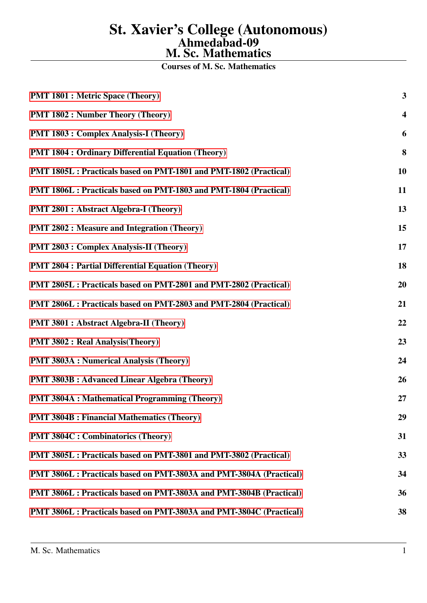# St. Xavier's College (Autonomous) Ahmedabad-09 M. Sc. Mathematics

Courses of M. Sc. Mathematics

| <b>PMT 1801 : Metric Space (Theory)</b>                             | 3                       |
|---------------------------------------------------------------------|-------------------------|
| <b>PMT 1802 : Number Theory (Theory)</b>                            | $\overline{\mathbf{4}}$ |
| <b>PMT 1803 : Complex Analysis-I (Theory)</b>                       | 6                       |
| <b>PMT 1804 : Ordinary Differential Equation (Theory)</b>           | 8                       |
| PMT 1805L : Practicals based on PMT-1801 and PMT-1802 (Practical)   | 10                      |
| PMT 1806L : Practicals based on PMT-1803 and PMT-1804 (Practical)   | 11                      |
| <b>PMT 2801 : Abstract Algebra-I (Theory)</b>                       | 13                      |
| <b>PMT 2802 : Measure and Integration (Theory)</b>                  | 15                      |
| <b>PMT 2803 : Complex Analysis-II (Theory)</b>                      | 17                      |
| <b>PMT 2804 : Partial Differential Equation (Theory)</b>            | 18                      |
| PMT 2805L : Practicals based on PMT-2801 and PMT-2802 (Practical)   | 20                      |
| PMT 2806L : Practicals based on PMT-2803 and PMT-2804 (Practical)   | 21                      |
| <b>PMT 3801 : Abstract Algebra-II (Theory)</b>                      | 22                      |
| <b>PMT 3802 : Real Analysis (Theory)</b>                            | 23                      |
| <b>PMT 3803A : Numerical Analysis (Theory)</b>                      | 24                      |
| <b>PMT 3803B: Advanced Linear Algebra (Theory)</b>                  | 26                      |
| <b>PMT 3804A : Mathematical Programming (Theory)</b>                | 27                      |
| <b>PMT 3804B : Financial Mathematics (Theory)</b>                   | 29                      |
| <b>PMT 3804C : Combinatorics (Theory)</b>                           | 31                      |
| PMT 3805L : Practicals based on PMT-3801 and PMT-3802 (Practical)   | 33                      |
| PMT 3806L : Practicals based on PMT-3803A and PMT-3804A (Practical) | 34                      |
| PMT 3806L : Practicals based on PMT-3803A and PMT-3804B (Practical) | 36                      |
| PMT 3806L : Practicals based on PMT-3803A and PMT-3804C (Practical) | 38                      |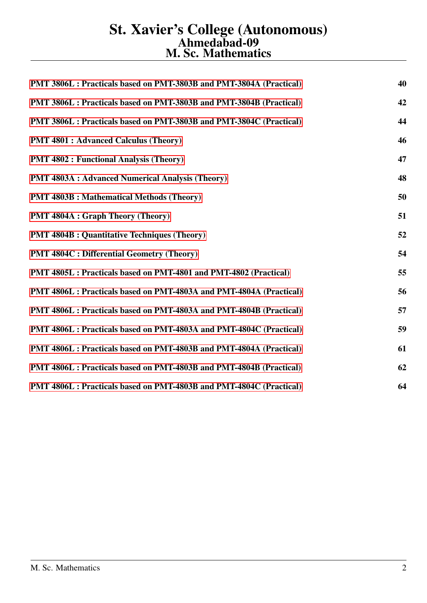# St. Xavier's College (Autonomous) Ahmedabad-09 M. Sc. Mathematics

| PMT 3806L : Practicals based on PMT-3803B and PMT-3804A (Practical) | 40 |
|---------------------------------------------------------------------|----|
| PMT 3806L : Practicals based on PMT-3803B and PMT-3804B (Practical) | 42 |
| PMT 3806L : Practicals based on PMT-3803B and PMT-3804C (Practical) | 44 |
| <b>PMT 4801 : Advanced Calculus (Theory)</b>                        | 46 |
| <b>PMT 4802 : Functional Analysis (Theory)</b>                      | 47 |
| <b>PMT 4803A : Advanced Numerical Analysis (Theory)</b>             | 48 |
| <b>PMT 4803B : Mathematical Methods (Theory)</b>                    | 50 |
| <b>PMT 4804A : Graph Theory (Theory)</b>                            | 51 |
| <b>PMT 4804B : Quantitative Techniques (Theory)</b>                 | 52 |
| <b>PMT 4804C: Differential Geometry (Theory)</b>                    | 54 |
| PMT 4805L : Practicals based on PMT-4801 and PMT-4802 (Practical)   | 55 |
| PMT 4806L : Practicals based on PMT-4803A and PMT-4804A (Practical) | 56 |
| PMT 4806L : Practicals based on PMT-4803A and PMT-4804B (Practical) | 57 |
| PMT 4806L : Practicals based on PMT-4803A and PMT-4804C (Practical) | 59 |
| PMT 4806L : Practicals based on PMT-4803B and PMT-4804A (Practical) | 61 |
| PMT 4806L : Practicals based on PMT-4803B and PMT-4804B (Practical) | 62 |
| PMT 4806L : Practicals based on PMT-4803B and PMT-4804C (Practical) | 64 |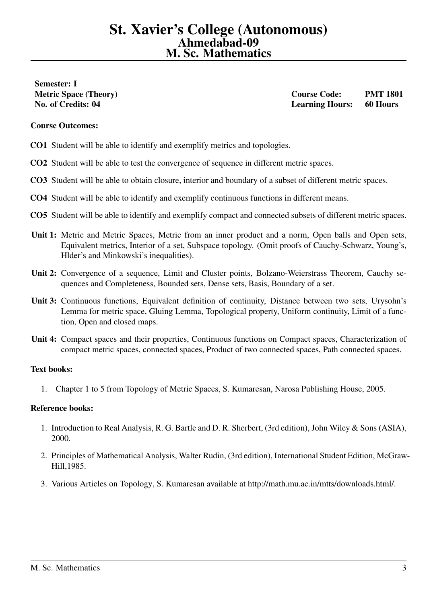# <span id="page-2-0"></span>Semester: I

Metric Space (Theory) and the contract of the Course Code: PMT 1801 No. of Credits: 04 Learning Hours: 60 Hours

## Course Outcomes:

- CO1 Student will be able to identify and exemplify metrics and topologies.
- CO2 Student will be able to test the convergence of sequence in different metric spaces.
- CO3 Student will be able to obtain closure, interior and boundary of a subset of different metric spaces.
- CO4 Student will be able to identify and exemplify continuous functions in different means.
- CO5 Student will be able to identify and exemplify compact and connected subsets of different metric spaces.
- Unit 1: Metric and Metric Spaces, Metric from an inner product and a norm, Open balls and Open sets, Equivalent metrics, Interior of a set, Subspace topology. (Omit proofs of Cauchy-Schwarz, Young's, Hlder's and Minkowski's inequalities).
- Unit 2: Convergence of a sequence, Limit and Cluster points, Bolzano-Weierstrass Theorem, Cauchy sequences and Completeness, Bounded sets, Dense sets, Basis, Boundary of a set.
- Unit 3: Continuous functions, Equivalent definition of continuity, Distance between two sets, Urysohn's Lemma for metric space, Gluing Lemma, Topological property, Uniform continuity, Limit of a function, Open and closed maps.
- Unit 4: Compact spaces and their properties, Continuous functions on Compact spaces, Characterization of compact metric spaces, connected spaces, Product of two connected spaces, Path connected spaces.

### Text books:

1. Chapter 1 to 5 from Topology of Metric Spaces, S. Kumaresan, Narosa Publishing House, 2005.

- 1. Introduction to Real Analysis, R. G. Bartle and D. R. Sherbert, (3rd edition), John Wiley & Sons (ASIA), 2000.
- 2. Principles of Mathematical Analysis, Walter Rudin, (3rd edition), International Student Edition, McGraw-Hill,1985.
- 3. Various Articles on Topology, S. Kumaresan available at http://math.mu.ac.in/mtts/downloads.html/.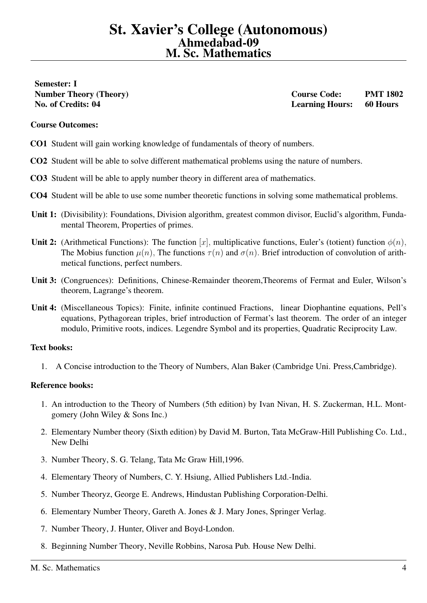<span id="page-3-0"></span>Semester: I

Number Theory (Theory) Course Code: PMT 1802 No. of Credits: 04 Learning Hours: 60 Hours

#### Course Outcomes:

- CO1 Student will gain working knowledge of fundamentals of theory of numbers.
- CO2 Student will be able to solve different mathematical problems using the nature of numbers.
- CO3 Student will be able to apply number theory in different area of mathematics.
- CO4 Student will be able to use some number theoretic functions in solving some mathematical problems.
- Unit 1: (Divisibility): Foundations, Division algorithm, greatest common divisor, Euclid's algorithm, Fundamental Theorem, Properties of primes.
- Unit 2: (Arithmetical Functions): The function [x], multiplicative functions, Euler's (totient) function  $\phi(n)$ , The Mobius function  $\mu(n)$ , The functions  $\tau(n)$  and  $\sigma(n)$ . Brief introduction of convolution of arithmetical functions, perfect numbers.
- Unit 3: (Congruences): Definitions, Chinese-Remainder theorem,Theorems of Fermat and Euler, Wilson's theorem, Lagrange's theorem.
- Unit 4: (Miscellaneous Topics): Finite, infinite continued Fractions, linear Diophantine equations, Pell's equations, Pythagorean triples, brief introduction of Fermat's last theorem. The order of an integer modulo, Primitive roots, indices. Legendre Symbol and its properties, Quadratic Reciprocity Law.

### Text books:

1. A Concise introduction to the Theory of Numbers, Alan Baker (Cambridge Uni. Press,Cambridge).

- 1. An introduction to the Theory of Numbers (5th edition) by Ivan Nivan, H. S. Zuckerman, H.L. Montgomery (John Wiley & Sons Inc.)
- 2. Elementary Number theory (Sixth edition) by David M. Burton, Tata McGraw-Hill Publishing Co. Ltd., New Delhi
- 3. Number Theory, S. G. Telang, Tata Mc Graw Hill,1996.
- 4. Elementary Theory of Numbers, C. Y. Hsiung, Allied Publishers Ltd.-India.
- 5. Number Theoryz, George E. Andrews, Hindustan Publishing Corporation-Delhi.
- 6. Elementary Number Theory, Gareth A. Jones & J. Mary Jones, Springer Verlag.
- 7. Number Theory, J. Hunter, Oliver and Boyd-London.
- 8. Beginning Number Theory, Neville Robbins, Narosa Pub. House New Delhi.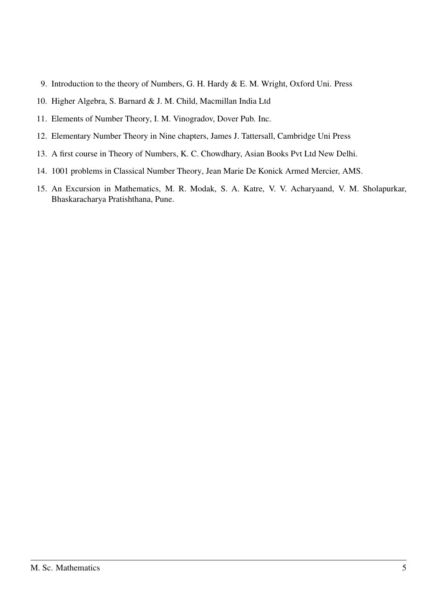- 9. Introduction to the theory of Numbers, G. H. Hardy & E. M. Wright, Oxford Uni. Press
- 10. Higher Algebra, S. Barnard & J. M. Child, Macmillan India Ltd
- 11. Elements of Number Theory, I. M. Vinogradov, Dover Pub. Inc.
- 12. Elementary Number Theory in Nine chapters, James J. Tattersall, Cambridge Uni Press
- 13. A first course in Theory of Numbers, K. C. Chowdhary, Asian Books Pvt Ltd New Delhi.
- 14. 1001 problems in Classical Number Theory, Jean Marie De Konick Armed Mercier, AMS.
- 15. An Excursion in Mathematics, M. R. Modak, S. A. Katre, V. V. Acharyaand, V. M. Sholapurkar, Bhaskaracharya Pratishthana, Pune.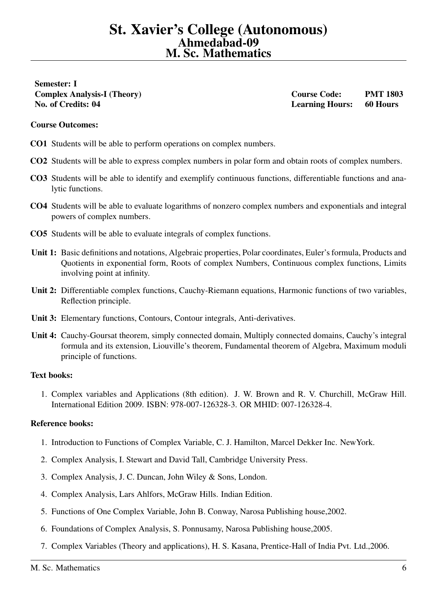<span id="page-5-0"></span>Semester: I No. of Credits: 04 Learning Hours: 60 Hours

Complex Analysis-I (Theory) Course Code: PMT 1803

#### Course Outcomes:

- CO1 Students will be able to perform operations on complex numbers.
- CO2 Students will be able to express complex numbers in polar form and obtain roots of complex numbers.
- CO3 Students will be able to identify and exemplify continuous functions, differentiable functions and analytic functions.
- CO4 Students will be able to evaluate logarithms of nonzero complex numbers and exponentials and integral powers of complex numbers.
- CO5 Students will be able to evaluate integrals of complex functions.
- Unit 1: Basic definitions and notations, Algebraic properties, Polar coordinates, Euler's formula, Products and Quotients in exponential form, Roots of complex Numbers, Continuous complex functions, Limits involving point at infinity.
- Unit 2: Differentiable complex functions, Cauchy-Riemann equations, Harmonic functions of two variables, Reflection principle.
- Unit 3: Elementary functions, Contours, Contour integrals, Anti-derivatives.
- Unit 4: Cauchy-Goursat theorem, simply connected domain, Multiply connected domains, Cauchy's integral formula and its extension, Liouville's theorem, Fundamental theorem of Algebra, Maximum moduli principle of functions.

#### Text books:

1. Complex variables and Applications (8th edition). J. W. Brown and R. V. Churchill, McGraw Hill. International Edition 2009. ISBN: 978-007-126328-3. OR MHID: 007-126328-4.

- 1. Introduction to Functions of Complex Variable, C. J. Hamilton, Marcel Dekker Inc. NewYork.
- 2. Complex Analysis, I. Stewart and David Tall, Cambridge University Press.
- 3. Complex Analysis, J. C. Duncan, John Wiley & Sons, London.
- 4. Complex Analysis, Lars Ahlfors, McGraw Hills. Indian Edition.
- 5. Functions of One Complex Variable, John B. Conway, Narosa Publishing house,2002.
- 6. Foundations of Complex Analysis, S. Ponnusamy, Narosa Publishing house,2005.
- 7. Complex Variables (Theory and applications), H. S. Kasana, Prentice-Hall of India Pvt. Ltd.,2006.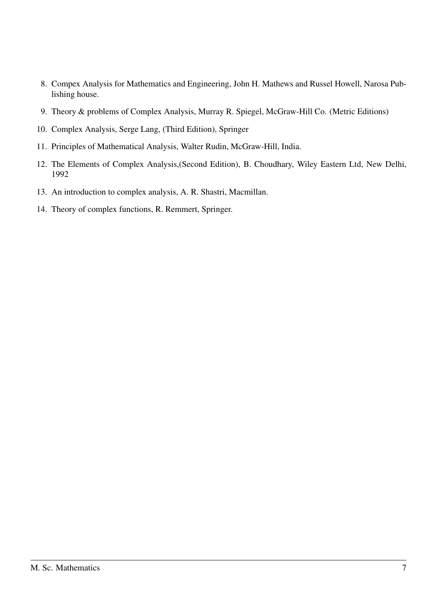- 8. Compex Analysis for Mathematics and Engineering, John H. Mathews and Russel Howell, Narosa Publishing house.
- 9. Theory & problems of Complex Analysis, Murray R. Spiegel, McGraw-Hill Co. (Metric Editions)
- 10. Complex Analysis, Serge Lang, (Third Edition), Springer
- 11. Principles of Mathematical Analysis, Walter Rudin, McGraw-Hill, India.
- 12. The Elements of Complex Analysis,(Second Edition), B. Choudhary, Wiley Eastern Ltd, New Delhi, 1992
- 13. An introduction to complex analysis, A. R. Shastri, Macmillan.
- 14. Theory of complex functions, R. Remmert, Springer.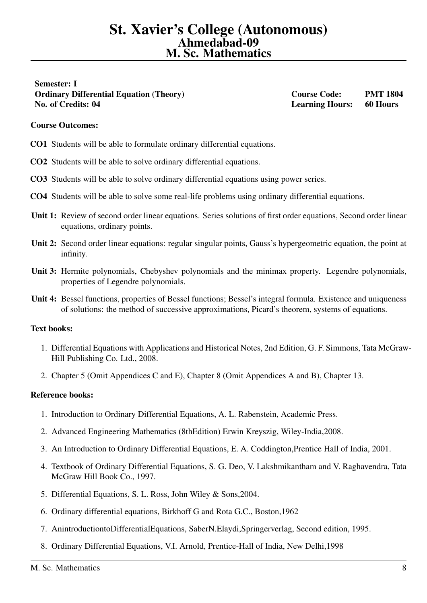<span id="page-7-0"></span>Semester: I Ordinary Differential Equation (Theory) Course Code: PMT 1804 No. of Credits: 04 Learning Hours: 60 Hours

# Course Outcomes:

- CO1 Students will be able to formulate ordinary differential equations.
- CO2 Students will be able to solve ordinary differential equations.
- CO3 Students will be able to solve ordinary differential equations using power series.
- CO4 Students will be able to solve some real-life problems using ordinary differential equations.
- Unit 1: Review of second order linear equations. Series solutions of first order equations, Second order linear equations, ordinary points.
- Unit 2: Second order linear equations: regular singular points, Gauss's hypergeometric equation, the point at infinity.
- Unit 3: Hermite polynomials, Chebyshev polynomials and the minimax property. Legendre polynomials, properties of Legendre polynomials.
- Unit 4: Bessel functions, properties of Bessel functions; Bessel's integral formula. Existence and uniqueness of solutions: the method of successive approximations, Picard's theorem, systems of equations.

# Text books:

- 1. Differential Equations with Applications and Historical Notes, 2nd Edition, G. F. Simmons, Tata McGraw-Hill Publishing Co. Ltd., 2008.
- 2. Chapter 5 (Omit Appendices C and E), Chapter 8 (Omit Appendices A and B), Chapter 13.

- 1. Introduction to Ordinary Differential Equations, A. L. Rabenstein, Academic Press.
- 2. Advanced Engineering Mathematics (8thEdition) Erwin Kreyszig, Wiley-India,2008.
- 3. An Introduction to Ordinary Differential Equations, E. A. Coddington,Prentice Hall of India, 2001.
- 4. Textbook of Ordinary Differential Equations, S. G. Deo, V. Lakshmikantham and V. Raghavendra, Tata McGraw Hill Book Co., 1997.
- 5. Differential Equations, S. L. Ross, John Wiley & Sons,2004.
- 6. Ordinary differential equations, Birkhoff G and Rota G.C., Boston,1962
- 7. AnintroductiontoDifferentialEquations, SaberN.Elaydi,Springerverlag, Second edition, 1995.
- 8. Ordinary Differential Equations, V.I. Arnold, Prentice-Hall of India, New Delhi,1998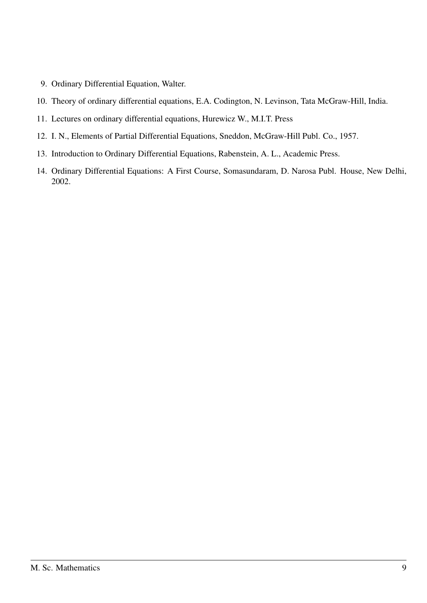- 9. Ordinary Differential Equation, Walter.
- 10. Theory of ordinary differential equations, E.A. Codington, N. Levinson, Tata McGraw-Hill, India.
- 11. Lectures on ordinary differential equations, Hurewicz W., M.I.T. Press
- 12. I. N., Elements of Partial Differential Equations, Sneddon, McGraw-Hill Publ. Co., 1957.
- 13. Introduction to Ordinary Differential Equations, Rabenstein, A. L., Academic Press.
- 14. Ordinary Differential Equations: A First Course, Somasundaram, D. Narosa Publ. House, New Delhi, 2002.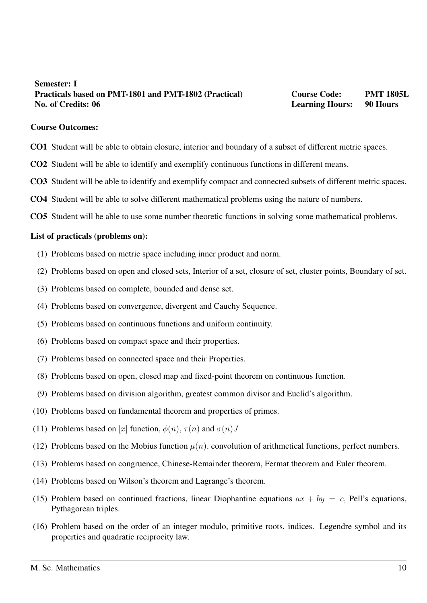# <span id="page-9-0"></span>Semester: I Practicals based on PMT-1801 and PMT-1802 (Practical) Course Code: PMT 1805L No. of Credits: 06 **Learning Hours:** 90 Hours: 1998 **Learning Hours: 1998** Hours: 1998 **Hours:** 1998 **Hours:** 1998 **Hours:** 1998 **Hours:** 1998 **Hours:** 1998 **Hours:** 1998 **Hours:** 1998 **Hours:** 1998 **Hours:** 1998 **Hours:**

#### Course Outcomes:

- CO1 Student will be able to obtain closure, interior and boundary of a subset of different metric spaces.
- CO2 Student will be able to identify and exemplify continuous functions in different means.
- CO3 Student will be able to identify and exemplify compact and connected subsets of different metric spaces.
- CO4 Student will be able to solve different mathematical problems using the nature of numbers.
- CO5 Student will be able to use some number theoretic functions in solving some mathematical problems.

- (1) Problems based on metric space including inner product and norm.
- (2) Problems based on open and closed sets, Interior of a set, closure of set, cluster points, Boundary of set.
- (3) Problems based on complete, bounded and dense set.
- (4) Problems based on convergence, divergent and Cauchy Sequence.
- (5) Problems based on continuous functions and uniform continuity.
- (6) Problems based on compact space and their properties.
- (7) Problems based on connected space and their Properties.
- (8) Problems based on open, closed map and fixed-point theorem on continuous function.
- (9) Problems based on division algorithm, greatest common divisor and Euclid's algorithm.
- (10) Problems based on fundamental theorem and properties of primes.
- (11) Problems based on [x] function,  $\phi(n)$ ,  $\tau(n)$  and  $\sigma(n)$ .
- (12) Problems based on the Mobius function  $\mu(n)$ , convolution of arithmetical functions, perfect numbers.
- (13) Problems based on congruence, Chinese-Remainder theorem, Fermat theorem and Euler theorem.
- (14) Problems based on Wilson's theorem and Lagrange's theorem.
- (15) Problem based on continued fractions, linear Diophantine equations  $ax + by = c$ , Pell's equations, Pythagorean triples.
- (16) Problem based on the order of an integer modulo, primitive roots, indices. Legendre symbol and its properties and quadratic reciprocity law.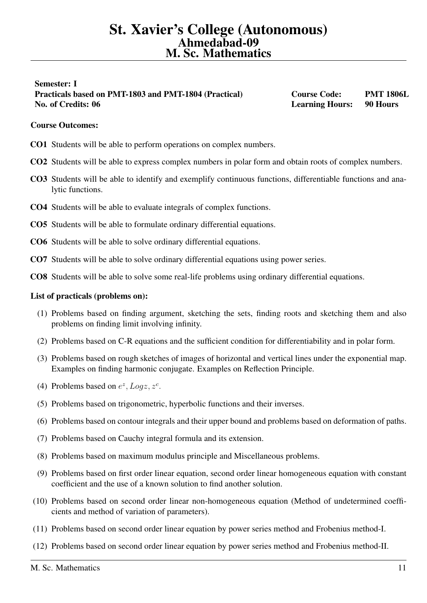# <span id="page-10-0"></span>Semester: I Practicals based on PMT-1803 and PMT-1804 (Practical) Course Code: PMT 1806L No. of Credits: 06 **Learning Hours:** 90 Hours: 1998 Hours: 1998 Hours: 1998 Hours: 1998 Hours: 1998 Hours: 1998 Hours: 1998 Hours: 1998 Hours: 1998 Hours: 1998 Hours: 1998 Hours: 1998 Hours: 1998 Hours: 1998 Hours: 1998 Ho

# Course Outcomes:

- CO1 Students will be able to perform operations on complex numbers.
- CO2 Students will be able to express complex numbers in polar form and obtain roots of complex numbers.
- CO3 Students will be able to identify and exemplify continuous functions, differentiable functions and analytic functions.
- CO4 Students will be able to evaluate integrals of complex functions.
- CO5 Students will be able to formulate ordinary differential equations.
- CO6 Students will be able to solve ordinary differential equations.
- CO7 Students will be able to solve ordinary differential equations using power series.
- CO8 Students will be able to solve some real-life problems using ordinary differential equations.

- (1) Problems based on finding argument, sketching the sets, finding roots and sketching them and also problems on finding limit involving infinity.
- (2) Problems based on C-R equations and the sufficient condition for differentiability and in polar form.
- (3) Problems based on rough sketches of images of horizontal and vertical lines under the exponential map. Examples on finding harmonic conjugate. Examples on Reflection Principle.
- (4) Problems based on  $e^z$ , Logz,  $z^c$ .
- (5) Problems based on trigonometric, hyperbolic functions and their inverses.
- (6) Problems based on contour integrals and their upper bound and problems based on deformation of paths.
- (7) Problems based on Cauchy integral formula and its extension.
- (8) Problems based on maximum modulus principle and Miscellaneous problems.
- (9) Problems based on first order linear equation, second order linear homogeneous equation with constant coefficient and the use of a known solution to find another solution.
- (10) Problems based on second order linear non-homogeneous equation (Method of undetermined coefficients and method of variation of parameters).
- (11) Problems based on second order linear equation by power series method and Frobenius method-I.
- (12) Problems based on second order linear equation by power series method and Frobenius method-II.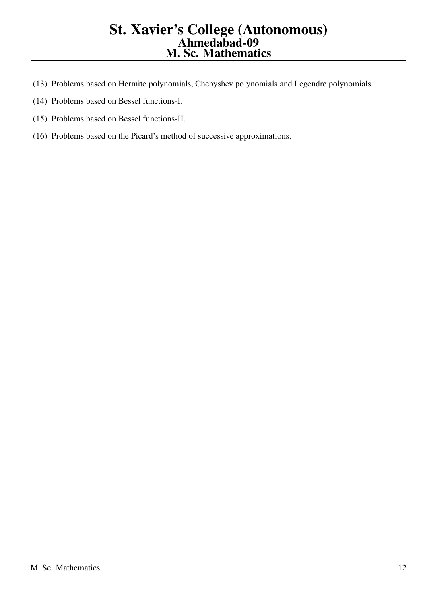# St. Xavier's College (Autonomous) Ahmedabad-09 M. Sc. Mathematics

- (13) Problems based on Hermite polynomials, Chebyshev polynomials and Legendre polynomials.
- (14) Problems based on Bessel functions-I.
- (15) Problems based on Bessel functions-II.
- (16) Problems based on the Picard's method of successive approximations.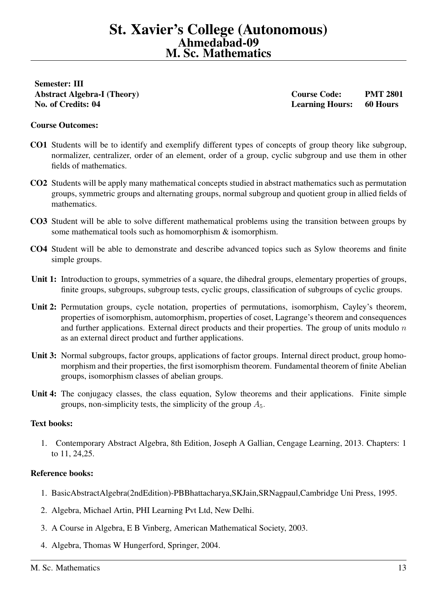# <span id="page-12-0"></span>Semester: III

Abstract Algebra-I (Theory) Course Code: PMT 2801 No. of Credits: 04 Learning Hours: 60 Hours

# Course Outcomes:

- CO1 Students will be to identify and exemplify different types of concepts of group theory like subgroup, normalizer, centralizer, order of an element, order of a group, cyclic subgroup and use them in other fields of mathematics.
- CO2 Students will be apply many mathematical concepts studied in abstract mathematics such as permutation groups, symmetric groups and alternating groups, normal subgroup and quotient group in allied fields of mathematics.
- CO3 Student will be able to solve different mathematical problems using the transition between groups by some mathematical tools such as homomorphism & isomorphism.
- CO4 Student will be able to demonstrate and describe advanced topics such as Sylow theorems and finite simple groups.
- Unit 1: Introduction to groups, symmetries of a square, the dihedral groups, elementary properties of groups, finite groups, subgroups, subgroup tests, cyclic groups, classification of subgroups of cyclic groups.
- Unit 2: Permutation groups, cycle notation, properties of permutations, isomorphism, Cayley's theorem, properties of isomorphism, automorphism, properties of coset, Lagrange's theorem and consequences and further applications. External direct products and their properties. The group of units modulo  $n$ as an external direct product and further applications.
- Unit 3: Normal subgroups, factor groups, applications of factor groups. Internal direct product, group homomorphism and their properties, the first isomorphism theorem. Fundamental theorem of finite Abelian groups, isomorphism classes of abelian groups.
- Unit 4: The conjugacy classes, the class equation, Sylow theorems and their applications. Finite simple groups, non-simplicity tests, the simplicity of the group  $A_5$ .

### Text books:

1. Contemporary Abstract Algebra, 8th Edition, Joseph A Gallian, Cengage Learning, 2013. Chapters: 1 to 11, 24,25.

- 1. BasicAbstractAlgebra(2ndEdition)-PBBhattacharya,SKJain,SRNagpaul,Cambridge Uni Press, 1995.
- 2. Algebra, Michael Artin, PHI Learning Pvt Ltd, New Delhi.
- 3. A Course in Algebra, E B Vinberg, American Mathematical Society, 2003.
- 4. Algebra, Thomas W Hungerford, Springer, 2004.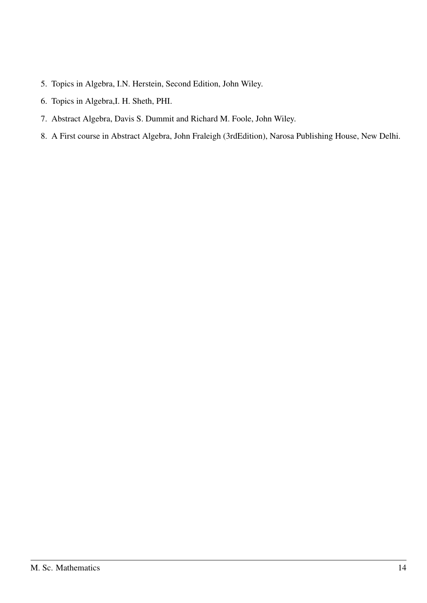- 5. Topics in Algebra, I.N. Herstein, Second Edition, John Wiley.
- 6. Topics in Algebra,I. H. Sheth, PHI.
- 7. Abstract Algebra, Davis S. Dummit and Richard M. Foole, John Wiley.
- 8. A First course in Abstract Algebra, John Fraleigh (3rdEdition), Narosa Publishing House, New Delhi.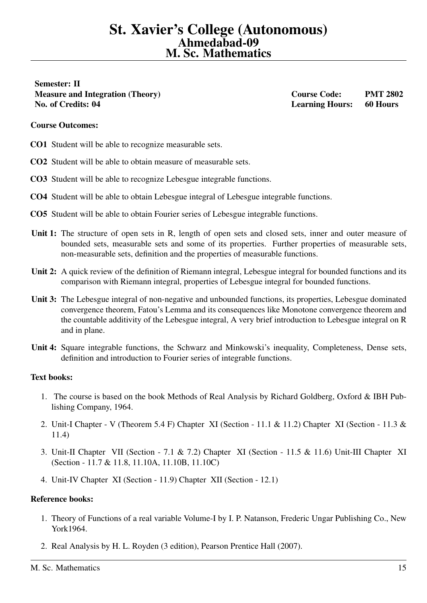<span id="page-14-0"></span>Semester: II Measure and Integration (Theory) Course Code: PMT 2802 No. of Credits: 04 Learning Hours: 60 Hours

# Course Outcomes:

- CO1 Student will be able to recognize measurable sets.
- CO2 Student will be able to obtain measure of measurable sets.
- CO3 Student will be able to recognize Lebesgue integrable functions.
- CO4 Student will be able to obtain Lebesgue integral of Lebesgue integrable functions.
- CO5 Student will be able to obtain Fourier series of Lebesgue integrable functions.
- Unit 1: The structure of open sets in R, length of open sets and closed sets, inner and outer measure of bounded sets, measurable sets and some of its properties. Further properties of measurable sets, non-measurable sets, definition and the properties of measurable functions.
- Unit 2: A quick review of the definition of Riemann integral, Lebesgue integral for bounded functions and its comparison with Riemann integral, properties of Lebesgue integral for bounded functions.
- Unit 3: The Lebesgue integral of non-negative and unbounded functions, its properties, Lebesgue dominated convergence theorem, Fatou's Lemma and its consequences like Monotone convergence theorem and the countable additivity of the Lebesgue integral, A very brief introduction to Lebesgue integral on R and in plane.
- Unit 4: Square integrable functions, the Schwarz and Minkowski's inequality, Completeness, Dense sets, definition and introduction to Fourier series of integrable functions.

### Text books:

- 1. The course is based on the book Methods of Real Analysis by Richard Goldberg, Oxford & IBH Publishing Company, 1964.
- 2. Unit-I Chapter V (Theorem 5.4 F) Chapter XI (Section 11.1 & 11.2) Chapter XI (Section 11.3 & 11.4)
- 3. Unit-II Chapter VII (Section 7.1 & 7.2) Chapter XI (Section 11.5 & 11.6) Unit-III Chapter XI (Section - 11.7 & 11.8, 11.10A, 11.10B, 11.10C)
- 4. Unit-IV Chapter XI (Section 11.9) Chapter XII (Section 12.1)

- 1. Theory of Functions of a real variable Volume-I by I. P. Natanson, Frederic Ungar Publishing Co., New York1964.
- 2. Real Analysis by H. L. Royden (3 edition), Pearson Prentice Hall (2007).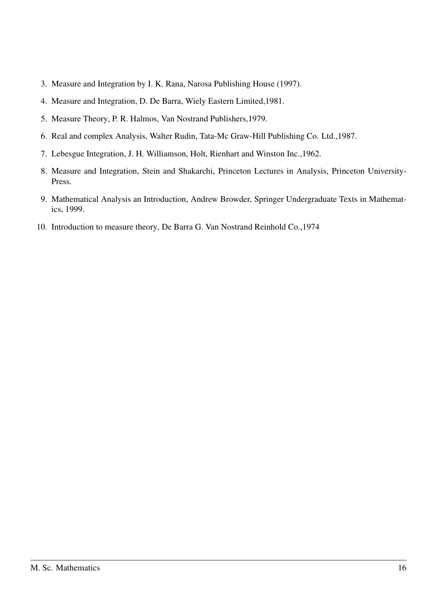- 3. Measure and Integration by I. K. Rana, Narosa Publishing House (1997).
- 4. Measure and Integration, D. De Barra, Wiely Eastern Limited,1981.
- 5. Measure Theory, P. R. Halmos, Van Nostrand Publishers,1979.
- 6. Real and complex Analysis, Walter Rudin, Tata-Mc Graw-Hill Publishing Co. Ltd.,1987.
- 7. Lebesgue Integration, J. H. Williamson, Holt, Rienhart and Winston Inc.,1962.
- 8. Measure and Integration, Stein and Shakarchi, Princeton Lectures in Analysis, Princeton University-Press.
- 9. Mathematical Analysis an Introduction, Andrew Browder, Springer Undergraduate Texts in Mathematics, 1999.
- 10. Introduction to measure theory, De Barra G. Van Nostrand Reinhold Co.,1974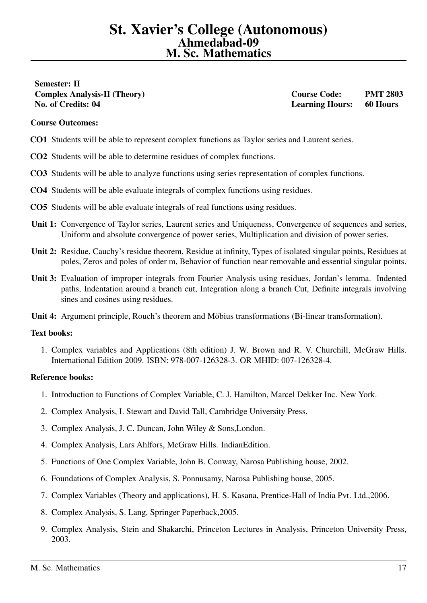# <span id="page-16-0"></span>Semester: II Complex Analysis-II (Theory) Course Code: PMT 2803 No. of Credits: 04 Learning Hours: 60 Hours

# Course Outcomes:

- CO1 Students will be able to represent complex functions as Taylor series and Laurent series.
- CO2 Students will be able to determine residues of complex functions.
- CO3 Students will be able to analyze functions using series representation of complex functions.
- CO4 Students will be able evaluate integrals of complex functions using residues.
- CO5 Students will be able evaluate integrals of real functions using residues.
- Unit 1: Convergence of Taylor series, Laurent series and Uniqueness, Convergence of sequences and series, Uniform and absolute convergence of power series, Multiplication and division of power series.
- Unit 2: Residue, Cauchy's residue theorem, Residue at infinity, Types of isolated singular points, Residues at poles, Zeros and poles of order m, Behavior of function near removable and essential singular points.
- Unit 3: Evaluation of improper integrals from Fourier Analysis using residues, Jordan's lemma. Indented paths, Indentation around a branch cut, Integration along a branch Cut, Definite integrals involving sines and cosines using residues.
- Unit 4: Argument principle, Rouch's theorem and Möbius transformations (Bi-linear transformation).

### Text books:

1. Complex variables and Applications (8th edition) J. W. Brown and R. V. Churchill, McGraw Hills. International Edition 2009. ISBN: 978-007-126328-3. OR MHID: 007-126328-4.

- 1. Introduction to Functions of Complex Variable, C. J. Hamilton, Marcel Dekker Inc. New York.
- 2. Complex Analysis, I. Stewart and David Tall, Cambridge University Press.
- 3. Complex Analysis, J. C. Duncan, John Wiley & Sons,London.
- 4. Complex Analysis, Lars Ahlfors, McGraw Hills. IndianEdition.
- 5. Functions of One Complex Variable, John B. Conway, Narosa Publishing house, 2002.
- 6. Foundations of Complex Analysis, S. Ponnusamy, Narosa Publishing house, 2005.
- 7. Complex Variables (Theory and applications), H. S. Kasana, Prentice-Hall of India Pvt. Ltd.,2006.
- 8. Complex Analysis, S. Lang, Springer Paperback,2005.
- 9. Complex Analysis, Stein and Shakarchi, Princeton Lectures in Analysis, Princeton University Press, 2003.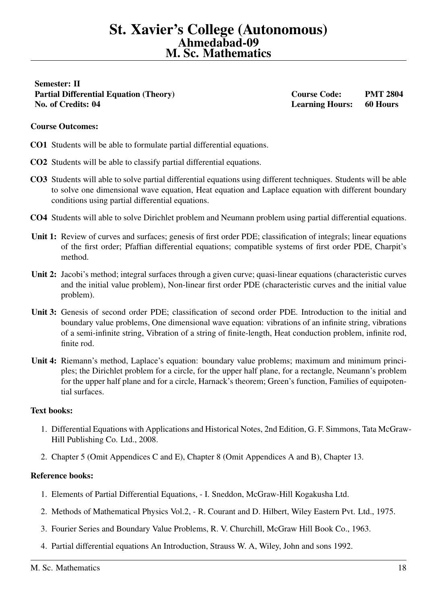<span id="page-17-0"></span>Semester: II Partial Differential Equation (Theory) Course Code: PMT 2804 No. of Credits: 04 Learning Hours: 60 Hours

# Course Outcomes:

- CO1 Students will be able to formulate partial differential equations.
- CO2 Students will be able to classify partial differential equations.
- CO3 Students will able to solve partial differential equations using different techniques. Students will be able to solve one dimensional wave equation, Heat equation and Laplace equation with different boundary conditions using partial differential equations.
- CO4 Students will able to solve Dirichlet problem and Neumann problem using partial differential equations.
- Unit 1: Review of curves and surfaces; genesis of first order PDE; classification of integrals; linear equations of the first order; Pfaffian differential equations; compatible systems of first order PDE, Charpit's method.
- Unit 2: Jacobi's method; integral surfaces through a given curve; quasi-linear equations (characteristic curves and the initial value problem), Non-linear first order PDE (characteristic curves and the initial value problem).
- Unit 3: Genesis of second order PDE; classification of second order PDE. Introduction to the initial and boundary value problems, One dimensional wave equation: vibrations of an infinite string, vibrations of a semi-infinite string, Vibration of a string of finite-length, Heat conduction problem, infinite rod, finite rod.
- Unit 4: Riemann's method, Laplace's equation: boundary value problems; maximum and minimum principles; the Dirichlet problem for a circle, for the upper half plane, for a rectangle, Neumann's problem for the upper half plane and for a circle, Harnack's theorem; Green's function, Families of equipotential surfaces.

### Text books:

- 1. Differential Equations with Applications and Historical Notes, 2nd Edition, G. F. Simmons, Tata McGraw-Hill Publishing Co. Ltd., 2008.
- 2. Chapter 5 (Omit Appendices C and E), Chapter 8 (Omit Appendices A and B), Chapter 13.

- 1. Elements of Partial Differential Equations, I. Sneddon, McGraw-Hill Kogakusha Ltd.
- 2. Methods of Mathematical Physics Vol.2, R. Courant and D. Hilbert, Wiley Eastern Pvt. Ltd., 1975.
- 3. Fourier Series and Boundary Value Problems, R. V. Churchill, McGraw Hill Book Co., 1963.
- 4. Partial differential equations An Introduction, Strauss W. A, Wiley, John and sons 1992.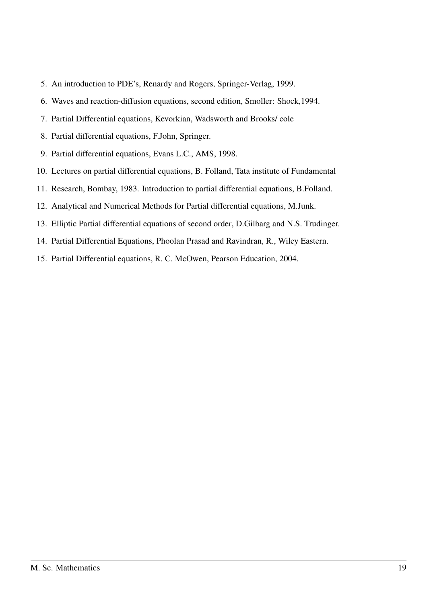- 5. An introduction to PDE's, Renardy and Rogers, Springer-Verlag, 1999.
- 6. Waves and reaction-diffusion equations, second edition, Smoller: Shock,1994.
- 7. Partial Differential equations, Kevorkian, Wadsworth and Brooks/ cole
- 8. Partial differential equations, F.John, Springer.
- 9. Partial differential equations, Evans L.C., AMS, 1998.
- 10. Lectures on partial differential equations, B. Folland, Tata institute of Fundamental
- 11. Research, Bombay, 1983. Introduction to partial differential equations, B.Folland.
- 12. Analytical and Numerical Methods for Partial differential equations, M.Junk.
- 13. Elliptic Partial differential equations of second order, D.Gilbarg and N.S. Trudinger.
- 14. Partial Differential Equations, Phoolan Prasad and Ravindran, R., Wiley Eastern.
- 15. Partial Differential equations, R. C. McOwen, Pearson Education, 2004.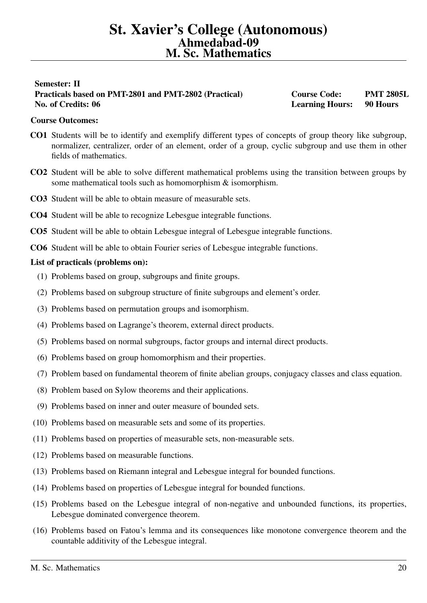# <span id="page-19-0"></span>Semester: II Practicals based on PMT-2801 and PMT-2802 (Practical) Course Code: PMT 2805L No. of Credits: 06 **Learning Hours:** 90 Hours: 1998 **Learning Hours: 1998** Hours: 1998 **Hours:** 1998 **Hours:** 1998 **Hours:** 1998 **Hours:** 1998 **Hours:** 1998 **Hours:** 1998 **Hours:** 1998 **Hours:** 1998 **Hours:** 1998 **Hours:**

# Course Outcomes:

- CO1 Students will be to identify and exemplify different types of concepts of group theory like subgroup, normalizer, centralizer, order of an element, order of a group, cyclic subgroup and use them in other fields of mathematics.
- CO2 Student will be able to solve different mathematical problems using the transition between groups by some mathematical tools such as homomorphism & isomorphism.
- CO3 Student will be able to obtain measure of measurable sets.
- CO4 Student will be able to recognize Lebesgue integrable functions.
- CO5 Student will be able to obtain Lebesgue integral of Lebesgue integrable functions.
- CO6 Student will be able to obtain Fourier series of Lebesgue integrable functions.

- (1) Problems based on group, subgroups and finite groups.
- (2) Problems based on subgroup structure of finite subgroups and element's order.
- (3) Problems based on permutation groups and isomorphism.
- (4) Problems based on Lagrange's theorem, external direct products.
- (5) Problems based on normal subgroups, factor groups and internal direct products.
- (6) Problems based on group homomorphism and their properties.
- (7) Problem based on fundamental theorem of finite abelian groups, conjugacy classes and class equation.
- (8) Problem based on Sylow theorems and their applications.
- (9) Problems based on inner and outer measure of bounded sets.
- (10) Problems based on measurable sets and some of its properties.
- (11) Problems based on properties of measurable sets, non-measurable sets.
- (12) Problems based on measurable functions.
- (13) Problems based on Riemann integral and Lebesgue integral for bounded functions.
- (14) Problems based on properties of Lebesgue integral for bounded functions.
- (15) Problems based on the Lebesgue integral of non-negative and unbounded functions, its properties, Lebesgue dominated convergence theorem.
- (16) Problems based on Fatou's lemma and its consequences like monotone convergence theorem and the countable additivity of the Lebesgue integral.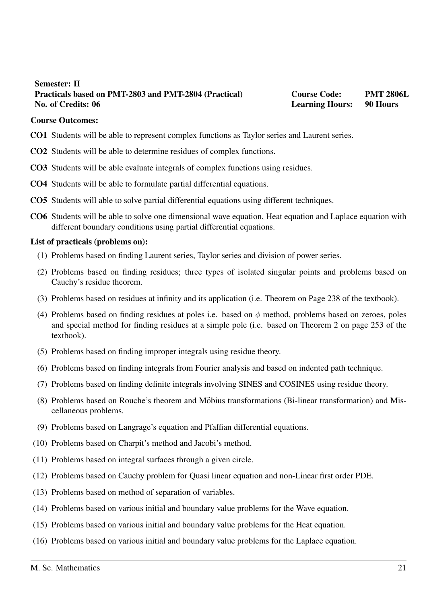# <span id="page-20-0"></span>Semester: II Practicals based on PMT-2803 and PMT-2804 (Practical) Course Code: PMT 2806L No. of Credits: 06 **Learning Hours:** 90 Hours: 1998 Hours: 1998 Hours: 1998 Hours: 1998 Hours: 1998 Hours: 1998 Hours: 1998 Hours: 1998 Hours: 1998 Hours: 1998 Hours: 1998 Hours: 1998 Hours: 1998 Hours: 1998 Hours: 1998 Ho

#### Course Outcomes:

- CO1 Students will be able to represent complex functions as Taylor series and Laurent series.
- CO2 Students will be able to determine residues of complex functions.
- CO3 Students will be able evaluate integrals of complex functions using residues.
- CO4 Students will be able to formulate partial differential equations.
- CO5 Students will able to solve partial differential equations using different techniques.
- CO6 Students will be able to solve one dimensional wave equation, Heat equation and Laplace equation with different boundary conditions using partial differential equations.

- (1) Problems based on finding Laurent series, Taylor series and division of power series.
- (2) Problems based on finding residues; three types of isolated singular points and problems based on Cauchy's residue theorem.
- (3) Problems based on residues at infinity and its application (i.e. Theorem on Page 238 of the textbook).
- (4) Problems based on finding residues at poles i.e. based on  $\phi$  method, problems based on zeroes, poles and special method for finding residues at a simple pole (i.e. based on Theorem 2 on page 253 of the textbook).
- (5) Problems based on finding improper integrals using residue theory.
- (6) Problems based on finding integrals from Fourier analysis and based on indented path technique.
- (7) Problems based on finding definite integrals involving SINES and COSINES using residue theory.
- (8) Problems based on Rouche's theorem and Mobius transformations (Bi-linear transformation) and Mis- ¨ cellaneous problems.
- (9) Problems based on Langrage's equation and Pfaffian differential equations.
- (10) Problems based on Charpit's method and Jacobi's method.
- (11) Problems based on integral surfaces through a given circle.
- (12) Problems based on Cauchy problem for Quasi linear equation and non-Linear first order PDE.
- (13) Problems based on method of separation of variables.
- (14) Problems based on various initial and boundary value problems for the Wave equation.
- (15) Problems based on various initial and boundary value problems for the Heat equation.
- (16) Problems based on various initial and boundary value problems for the Laplace equation.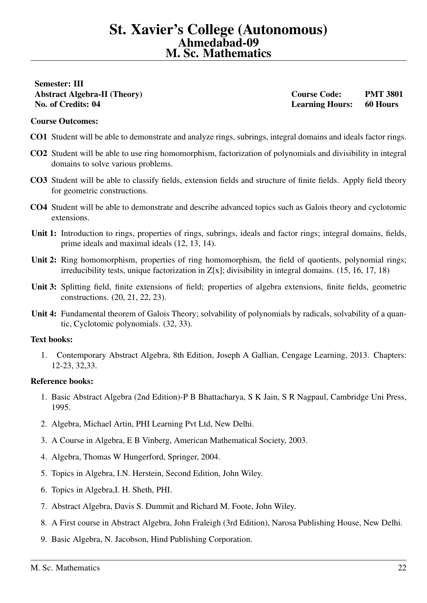# <span id="page-21-0"></span>Semester: III No. of Credits: 04 Learning Hours: 60 Hours

Abstract Algebra-II (Theory) Course Code: PMT 3801

## Course Outcomes:

- CO1 Student will be able to demonstrate and analyze rings, subrings, integral domains and ideals factor rings.
- CO2 Student will be able to use ring homomorphism, factorization of polynomials and divisibility in integral domains to solve various problems.
- CO3 Student will be able to classify fields, extension fields and structure of finite fields. Apply field theory for geometric constructions.
- CO4 Student will be able to demonstrate and describe advanced topics such as Galois theory and cyclotomic extensions.
- Unit 1: Introduction to rings, properties of rings, subrings, ideals and factor rings; integral domains, fields, prime ideals and maximal ideals (12, 13, 14).
- Unit 2: Ring homomorphism, properties of ring homomorphism, the field of quotients, polynomial rings; irreducibility tests, unique factorization in Z[x]; divisibility in integral domains. (15, 16, 17, 18)
- Unit 3: Splitting field, finite extensions of field; properties of algebra extensions, finite fields, geometric constructions. (20, 21, 22, 23).
- Unit 4: Fundamental theorem of Galois Theory; solvability of polynomials by radicals, solvability of a quantic, Cyclotomic polynomials. (32, 33).

### Text books:

1. Contemporary Abstract Algebra, 8th Edition, Joseph A Gallian, Cengage Learning, 2013. Chapters: 12-23, 32,33.

- 1. Basic Abstract Algebra (2nd Edition)-P B Bhattacharya, S K Jain, S R Nagpaul, Cambridge Uni Press, 1995.
- 2. Algebra, Michael Artin, PHI Learning Pvt Ltd, New Delhi.
- 3. A Course in Algebra, E B Vinberg, American Mathematical Society, 2003.
- 4. Algebra, Thomas W Hungerford, Springer, 2004.
- 5. Topics in Algebra, I.N. Herstein, Second Edition, John Wiley.
- 6. Topics in Algebra,I. H. Sheth, PHI.
- 7. Abstract Algebra, Davis S. Dummit and Richard M. Foote, John Wiley.
- 8. A First course in Abstract Algebra, John Fraleigh (3rd Edition), Narosa Publishing House, New Delhi.
- 9. Basic Algebra, N. Jacobson, Hind Publishing Corporation.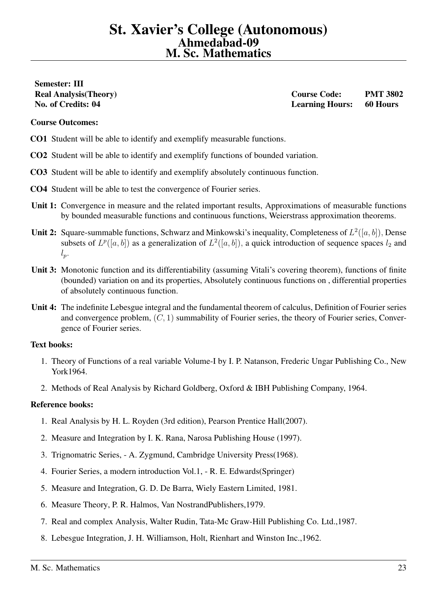# <span id="page-22-0"></span>Semester: III

Real Analysis(Theory) and the course Course Code: PMT 3802 No. of Credits: 04 Learning Hours: 60 Hours

# Course Outcomes:

- CO1 Student will be able to identify and exemplify measurable functions.
- CO2 Student will be able to identify and exemplify functions of bounded variation.
- CO3 Student will be able to identify and exemplify absolutely continuous function.
- CO4 Student will be able to test the convergence of Fourier series.
- Unit 1: Convergence in measure and the related important results, Approximations of measurable functions by bounded measurable functions and continuous functions, Weierstrass approximation theorems.
- **Unit 2:** Square-summable functions, Schwarz and Minkowski's inequality, Completeness of  $L^2([a, b])$ , Dense subsets of  $L^p([a, b])$  as a generalization of  $L^2([a, b])$ , a quick introduction of sequence spaces  $l_2$  and  $l_p$ .
- Unit 3: Monotonic function and its differentiability (assuming Vitali's covering theorem), functions of finite (bounded) variation on and its properties, Absolutely continuous functions on , differential properties of absolutely continuous function.
- Unit 4: The indefinite Lebesgue integral and the fundamental theorem of calculus, Definition of Fourier series and convergence problem,  $(C, 1)$  summability of Fourier series, the theory of Fourier series, Convergence of Fourier series.

### Text books:

- 1. Theory of Functions of a real variable Volume-I by I. P. Natanson, Frederic Ungar Publishing Co., New York1964.
- 2. Methods of Real Analysis by Richard Goldberg, Oxford & IBH Publishing Company, 1964.

- 1. Real Analysis by H. L. Royden (3rd edition), Pearson Prentice Hall(2007).
- 2. Measure and Integration by I. K. Rana, Narosa Publishing House (1997).
- 3. Trignomatric Series, A. Zygmund, Cambridge University Press(1968).
- 4. Fourier Series, a modern introduction Vol.1, R. E. Edwards(Springer)
- 5. Measure and Integration, G. D. De Barra, Wiely Eastern Limited, 1981.
- 6. Measure Theory, P. R. Halmos, Van NostrandPublishers,1979.
- 7. Real and complex Analysis, Walter Rudin, Tata-Mc Graw-Hill Publishing Co. Ltd.,1987.
- 8. Lebesgue Integration, J. H. Williamson, Holt, Rienhart and Winston Inc.,1962.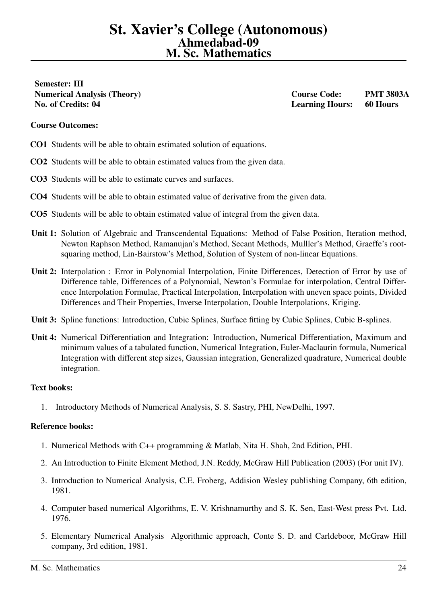<span id="page-23-0"></span>Semester: III No. of Credits: 04 Learning Hours: 60 Hours

Numerical Analysis (Theory) Course Code: PMT 3803A

# Course Outcomes:

- CO1 Students will be able to obtain estimated solution of equations.
- CO2 Students will be able to obtain estimated values from the given data.
- CO3 Students will be able to estimate curves and surfaces.
- CO4 Students will be able to obtain estimated value of derivative from the given data.
- CO5 Students will be able to obtain estimated value of integral from the given data.
- Unit 1: Solution of Algebraic and Transcendental Equations: Method of False Position, Iteration method, Newton Raphson Method, Ramanujan's Method, Secant Methods, Mulller's Method, Graeffe's rootsquaring method, Lin-Bairstow's Method, Solution of System of non-linear Equations.
- Unit 2: Interpolation : Error in Polynomial Interpolation, Finite Differences, Detection of Error by use of Difference table, Differences of a Polynomial, Newton's Formulae for interpolation, Central Difference Interpolation Formulae, Practical Interpolation, Interpolation with uneven space points, Divided Differences and Their Properties, Inverse Interpolation, Double Interpolations, Kriging.
- Unit 3: Spline functions: Introduction, Cubic Splines, Surface fitting by Cubic Splines, Cubic B-splines.
- Unit 4: Numerical Differentiation and Integration: Introduction, Numerical Differentiation, Maximum and minimum values of a tabulated function, Numerical Integration, Euler-Maclaurin formula, Numerical Integration with different step sizes, Gaussian integration, Generalized quadrature, Numerical double integration.

### Text books:

1. Introductory Methods of Numerical Analysis, S. S. Sastry, PHI, NewDelhi, 1997.

- 1. Numerical Methods with C++ programming & Matlab, Nita H. Shah, 2nd Edition, PHI.
- 2. An Introduction to Finite Element Method, J.N. Reddy, McGraw Hill Publication (2003) (For unit IV).
- 3. Introduction to Numerical Analysis, C.E. Froberg, Addision Wesley publishing Company, 6th edition, 1981.
- 4. Computer based numerical Algorithms, E. V. Krishnamurthy and S. K. Sen, East-West press Pvt. Ltd. 1976.
- 5. Elementary Numerical Analysis Algorithmic approach, Conte S. D. and Carldeboor, McGraw Hill company, 3rd edition, 1981.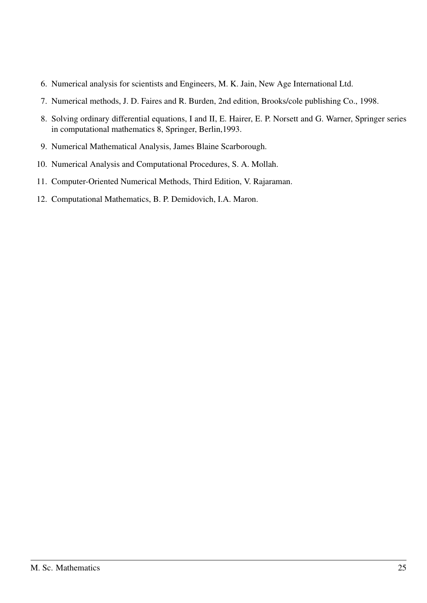- 6. Numerical analysis for scientists and Engineers, M. K. Jain, New Age International Ltd.
- 7. Numerical methods, J. D. Faires and R. Burden, 2nd edition, Brooks/cole publishing Co., 1998.
- 8. Solving ordinary differential equations, I and II, E. Hairer, E. P. Norsett and G. Warner, Springer series in computational mathematics 8, Springer, Berlin,1993.
- 9. Numerical Mathematical Analysis, James Blaine Scarborough.
- 10. Numerical Analysis and Computational Procedures, S. A. Mollah.
- 11. Computer-Oriented Numerical Methods, Third Edition, V. Rajaraman.
- 12. Computational Mathematics, B. P. Demidovich, I.A. Maron.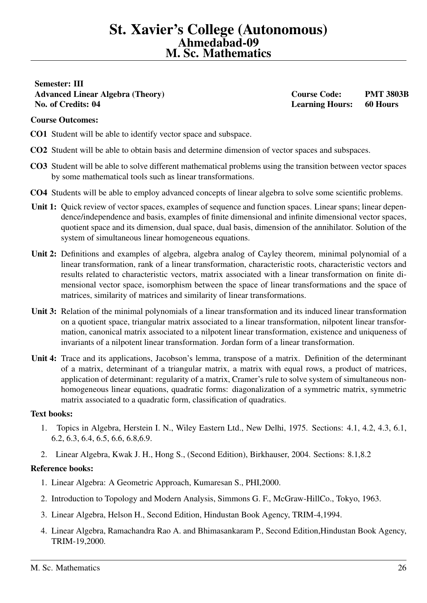# St. Xavier's College (Autonomous) Ahmedabad-09 M. Sc. Mathematics

# <span id="page-25-0"></span>Semester: III Advanced Linear Algebra (Theory) Course Code: PMT 3803B No. of Credits: 04 Learning Hours: 60 Hours

# Course Outcomes:

- CO1 Student will be able to identify vector space and subspace.
- CO2 Student will be able to obtain basis and determine dimension of vector spaces and subspaces.
- CO3 Student will be able to solve different mathematical problems using the transition between vector spaces by some mathematical tools such as linear transformations.
- CO4 Students will be able to employ advanced concepts of linear algebra to solve some scientific problems.
- Unit 1: Quick review of vector spaces, examples of sequence and function spaces. Linear spans; linear dependence/independence and basis, examples of finite dimensional and infinite dimensional vector spaces, quotient space and its dimension, dual space, dual basis, dimension of the annihilator. Solution of the system of simultaneous linear homogeneous equations.
- Unit 2: Definitions and examples of algebra, algebra analog of Cayley theorem, minimal polynomial of a linear transformation, rank of a linear transformation, characteristic roots, characteristic vectors and results related to characteristic vectors, matrix associated with a linear transformation on finite dimensional vector space, isomorphism between the space of linear transformations and the space of matrices, similarity of matrices and similarity of linear transformations.
- Unit 3: Relation of the minimal polynomials of a linear transformation and its induced linear transformation on a quotient space, triangular matrix associated to a linear transformation, nilpotent linear transformation, canonical matrix associated to a nilpotent linear transformation, existence and uniqueness of invariants of a nilpotent linear transformation. Jordan form of a linear transformation.
- Unit 4: Trace and its applications, Jacobson's lemma, transpose of a matrix. Definition of the determinant of a matrix, determinant of a triangular matrix, a matrix with equal rows, a product of matrices, application of determinant: regularity of a matrix, Cramer's rule to solve system of simultaneous nonhomogeneous linear equations, quadratic forms: diagonalization of a symmetric matrix, symmetric matrix associated to a quadratic form, classification of quadratics.

### Text books:

- 1. Topics in Algebra, Herstein I. N., Wiley Eastern Ltd., New Delhi, 1975. Sections: 4.1, 4.2, 4.3, 6.1, 6.2, 6.3, 6.4, 6.5, 6.6, 6.8,6.9.
- 2. Linear Algebra, Kwak J. H., Hong S., (Second Edition), Birkhauser, 2004. Sections: 8.1,8.2

- 1. Linear Algebra: A Geometric Approach, Kumaresan S., PHI,2000.
- 2. Introduction to Topology and Modern Analysis, Simmons G. F., McGraw-HillCo., Tokyo, 1963.
- 3. Linear Algebra, Helson H., Second Edition, Hindustan Book Agency, TRIM-4,1994.
- 4. Linear Algebra, Ramachandra Rao A. and Bhimasankaram P., Second Edition,Hindustan Book Agency, TRIM-19,2000.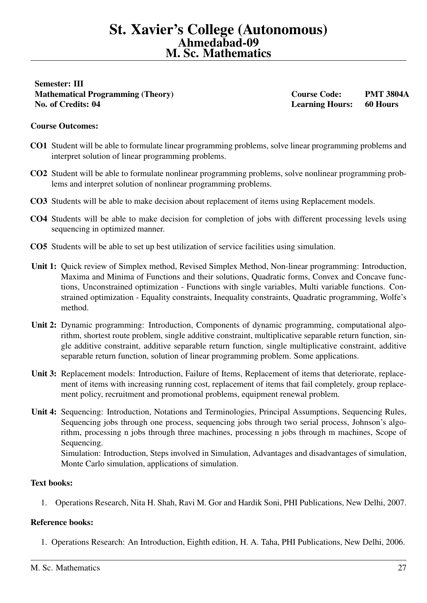# St. Xavier's College (Autonomous) Ahmedabad-09 M. Sc. Mathematics

<span id="page-26-0"></span>Semester: III Mathematical Programming (Theory) Course Code: PMT 3804A No. of Credits: 04 Learning Hours: 60 Hours

# Course Outcomes:

- CO1 Student will be able to formulate linear programming problems, solve linear programming problems and interpret solution of linear programming problems.
- CO2 Student will be able to formulate nonlinear programming problems, solve nonlinear programming problems and interpret solution of nonlinear programming problems.
- CO3 Students will be able to make decision about replacement of items using Replacement models.
- CO4 Students will be able to make decision for completion of jobs with different processing levels using sequencing in optimized manner.
- CO5 Students will be able to set up best utilization of service facilities using simulation.
- Unit 1: Quick review of Simplex method, Revised Simplex Method, Non-linear programming: Introduction, Maxima and Minima of Functions and their solutions, Quadratic forms, Convex and Concave functions, Unconstrained optimization - Functions with single variables, Multi variable functions. Constrained optimization - Equality constraints, Inequality constraints, Quadratic programming, Wolfe's method.
- Unit 2: Dynamic programming: Introduction, Components of dynamic programming, computational algorithm, shortest route problem, single additive constraint, multiplicative separable return function, single additive constraint, additive separable return function, single multiplicative constraint, additive separable return function, solution of linear programming problem. Some applications.
- Unit 3: Replacement models: Introduction, Failure of Items, Replacement of items that deteriorate, replacement of items with increasing running cost, replacement of items that fail completely, group replacement policy, recruitment and promotional problems, equipment renewal problem.
- Unit 4: Sequencing: Introduction, Notations and Terminologies, Principal Assumptions, Sequencing Rules, Sequencing jobs through one process, sequencing jobs through two serial process, Johnson's algorithm, processing n jobs through three machines, processing n jobs through m machines, Scope of Sequencing. Simulation: Introduction, Steps involved in Simulation, Advantages and disadvantages of simulation,

Monte Carlo simulation, applications of simulation.

### Text books:

1. Operations Research, Nita H. Shah, Ravi M. Gor and Hardik Soni, PHI Publications, New Delhi, 2007.

# Reference books:

1. Operations Research: An Introduction, Eighth edition, H. A. Taha, PHI Publications, New Delhi, 2006.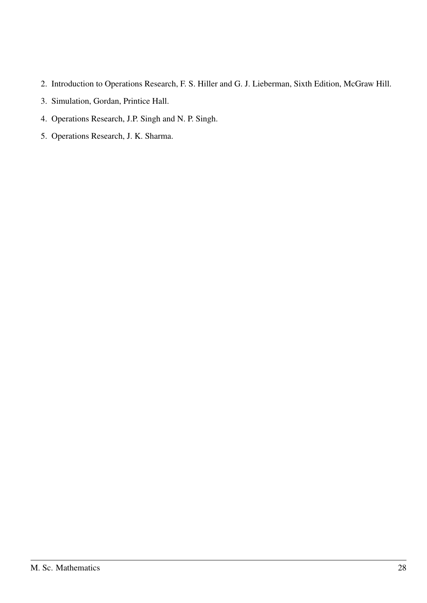- 2. Introduction to Operations Research, F. S. Hiller and G. J. Lieberman, Sixth Edition, McGraw Hill.
- 3. Simulation, Gordan, Printice Hall.
- 4. Operations Research, J.P. Singh and N. P. Singh.
- 5. Operations Research, J. K. Sharma.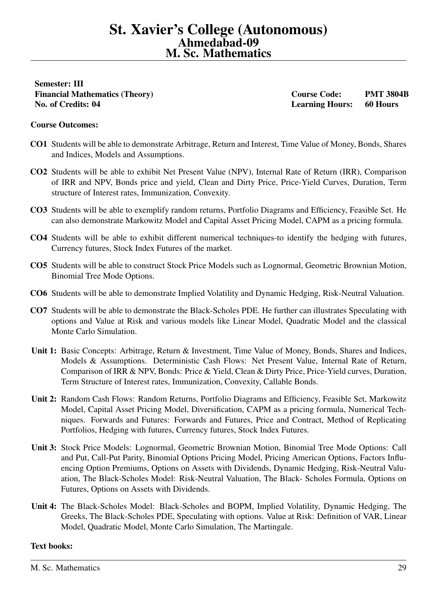<span id="page-28-0"></span>Semester: III Financial Mathematics (Theory) Course Code: PMT 3804B No. of Credits: 04 Learning Hours: 60 Hours

# Course Outcomes:

- CO1 Students will be able to demonstrate Arbitrage, Return and Interest, Time Value of Money, Bonds, Shares and Indices, Models and Assumptions.
- CO2 Students will be able to exhibit Net Present Value (NPV), Internal Rate of Return (IRR), Comparison of IRR and NPV, Bonds price and yield, Clean and Dirty Price, Price-Yield Curves, Duration, Term structure of Interest rates, Immunization, Convexity.
- CO3 Students will be able to exemplify random returns, Portfolio Diagrams and Efficiency, Feasible Set. He can also demonstrate Markowitz Model and Capital Asset Pricing Model, CAPM as a pricing formula.
- CO4 Students will be able to exhibit different numerical techniques-to identify the hedging with futures, Currency futures, Stock Index Futures of the market.
- CO5 Students will be able to construct Stock Price Models such as Lognormal, Geometric Brownian Motion, Binomial Tree Mode Options.
- CO6 Students will be able to demonstrate Implied Volatility and Dynamic Hedging, Risk-Neutral Valuation.
- CO7 Students will be able to demonstrate the Black-Scholes PDE. He further can illustrates Speculating with options and Value at Risk and various models like Linear Model, Quadratic Model and the classical Monte Carlo Simulation.
- Unit 1: Basic Concepts: Arbitrage, Return & Investment, Time Value of Money, Bonds, Shares and Indices, Models & Assumptions. Deterministic Cash Flows: Net Present Value, Internal Rate of Return, Comparison of IRR & NPV, Bonds: Price & Yield, Clean & Dirty Price, Price-Yield curves, Duration, Term Structure of Interest rates, Immunization, Convexity, Callable Bonds.
- Unit 2: Random Cash Flows: Random Returns, Portfolio Diagrams and Efficiency, Feasible Set, Markowitz Model, Capital Asset Pricing Model, Diversification, CAPM as a pricing formula, Numerical Techniques. Forwards and Futures: Forwards and Futures, Price and Contract, Method of Replicating Portfolios, Hedging with futures, Currency futures, Stock Index Futures.
- Unit 3: Stock Price Models: Lognormal, Geometric Brownian Motion, Binomial Tree Mode Options: Call and Put, Call-Put Parity, Binomial Options Pricing Model, Pricing American Options, Factors Influencing Option Premiums, Options on Assets with Dividends, Dynamic Hedging, Risk-Neutral Valuation, The Black-Scholes Model: Risk-Neutral Valuation, The Black- Scholes Formula, Options on Futures, Options on Assets with Dividends.
- Unit 4: The Black-Scholes Model: Black-Scholes and BOPM, Implied Volatility, Dynamic Hedging, The Greeks, The Black-Scholes PDE, Speculating with options. Value at Risk: Definition of VAR, Linear Model, Quadratic Model, Monte Carlo Simulation, The Martingale.

# Text books: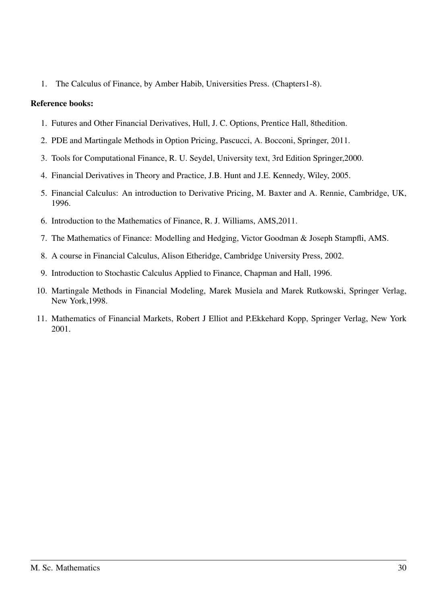1. The Calculus of Finance, by Amber Habib, Universities Press. (Chapters1-8).

- 1. Futures and Other Financial Derivatives, Hull, J. C. Options, Prentice Hall, 8thedition.
- 2. PDE and Martingale Methods in Option Pricing, Pascucci, A. Bocconi, Springer, 2011.
- 3. Tools for Computational Finance, R. U. Seydel, University text, 3rd Edition Springer,2000.
- 4. Financial Derivatives in Theory and Practice, J.B. Hunt and J.E. Kennedy, Wiley, 2005.
- 5. Financial Calculus: An introduction to Derivative Pricing, M. Baxter and A. Rennie, Cambridge, UK, 1996.
- 6. Introduction to the Mathematics of Finance, R. J. Williams, AMS,2011.
- 7. The Mathematics of Finance: Modelling and Hedging, Victor Goodman & Joseph Stampfli, AMS.
- 8. A course in Financial Calculus, Alison Etheridge, Cambridge University Press, 2002.
- 9. Introduction to Stochastic Calculus Applied to Finance, Chapman and Hall, 1996.
- 10. Martingale Methods in Financial Modeling, Marek Musiela and Marek Rutkowski, Springer Verlag, New York,1998.
- 11. Mathematics of Financial Markets, Robert J Elliot and P.Ekkehard Kopp, Springer Verlag, New York 2001.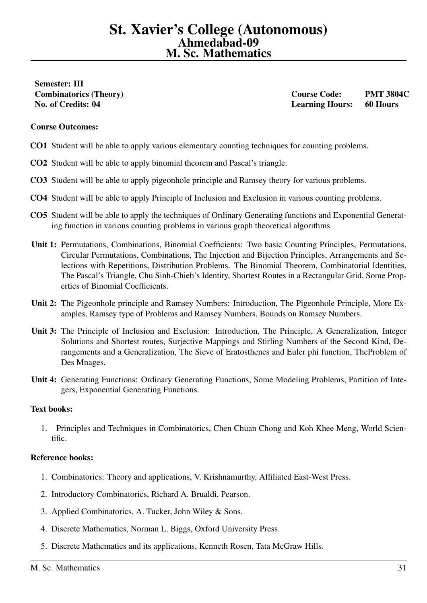# <span id="page-30-0"></span>Semester: III

Combinatorics (Theory) Course Code: PMT 3804C No. of Credits: 04 Learning Hours: 60 Hours

# Course Outcomes:

- CO1 Student will be able to apply various elementary counting techniques for counting problems.
- CO2 Student will be able to apply binomial theorem and Pascal's triangle.
- CO3 Student will be able to apply pigeonhole principle and Ramsey theory for various problems.
- CO4 Student will be able to apply Principle of Inclusion and Exclusion in various counting problems.
- CO5 Student will be able to apply the techniques of Ordinary Generating functions and Exponential Generating function in various counting problems in various graph theoretical algorithms
- Unit 1: Permutations, Combinations, Binomial Coefficients: Two basic Counting Principles, Permutations, Circular Permutations, Combinations, The Injection and Bijection Principles, Arrangements and Selections with Repetitions, Distribution Problems. The Binomial Theorem, Combinatorial Identities, The Pascal's Triangle, Chu Sinh-Chieh's Identity, Shortest Routes in a Rectangular Grid, Some Properties of Binomial Coefficients.
- Unit 2: The Pigeonhole principle and Ramsey Numbers: Introduction, The Pigeonhole Principle, More Examples, Ramsey type of Problems and Ramsey Numbers, Bounds on Ramsey Numbers.
- Unit 3: The Principle of Inclusion and Exclusion: Introduction, The Principle, A Generalization, Integer Solutions and Shortest routes, Surjective Mappings and Stirling Numbers of the Second Kind, Derangements and a Generalization, The Sieve of Eratosthenes and Euler phi function, TheProblem of Des Mnages.
- Unit 4: Generating Functions: Ordinary Generating Functions, Some Modeling Problems, Partition of Integers, Exponential Generating Functions.

### Text books:

1. Principles and Techniques in Combinatorics, Chen Chuan Chong and Koh Khee Meng, World Scientific.

- 1. Combinatorics: Theory and applications, V. Krishnamurthy, Affiliated East-West Press.
- 2. Introductory Combinatorics, Richard A. Brualdi, Pearson.
- 3. Applied Combinatorics, A. Tucker, John Wiley & Sons.
- 4. Discrete Mathematics, Norman L. Biggs, Oxford University Press.
- 5. Discrete Mathematics and its applications, Kenneth Rosen, Tata McGraw Hills.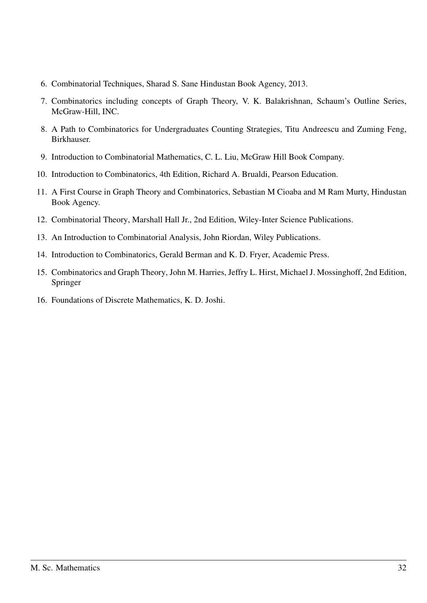- 6. Combinatorial Techniques, Sharad S. Sane Hindustan Book Agency, 2013.
- 7. Combinatorics including concepts of Graph Theory, V. K. Balakrishnan, Schaum's Outline Series, McGraw-Hill, INC.
- 8. A Path to Combinatorics for Undergraduates Counting Strategies, Titu Andreescu and Zuming Feng, Birkhauser.
- 9. Introduction to Combinatorial Mathematics, C. L. Liu, McGraw Hill Book Company.
- 10. Introduction to Combinatorics, 4th Edition, Richard A. Brualdi, Pearson Education.
- 11. A First Course in Graph Theory and Combinatorics, Sebastian M Cioaba and M Ram Murty, Hindustan Book Agency.
- 12. Combinatorial Theory, Marshall Hall Jr., 2nd Edition, Wiley-Inter Science Publications.
- 13. An Introduction to Combinatorial Analysis, John Riordan, Wiley Publications.
- 14. Introduction to Combinatorics, Gerald Berman and K. D. Fryer, Academic Press.
- 15. Combinatorics and Graph Theory, John M. Harries, Jeffry L. Hirst, Michael J. Mossinghoff, 2nd Edition, Springer
- 16. Foundations of Discrete Mathematics, K. D. Joshi.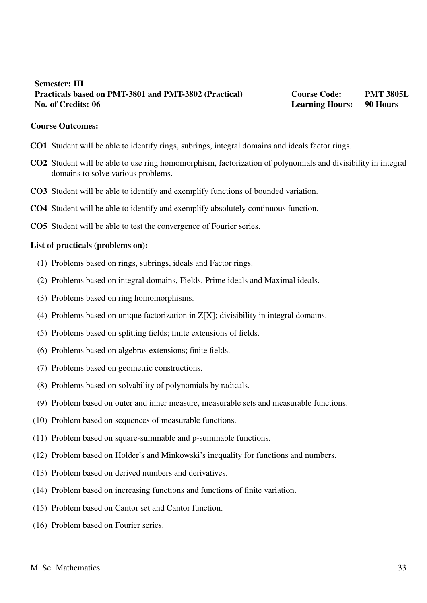# <span id="page-32-0"></span>Semester: III Practicals based on PMT-3801 and PMT-3802 (Practical) Course Code: PMT 3805L No. of Credits: 06 **Learning Hours:** 90 Hours: 1998 **Learning Hours: 1998** Hours: 1998 **Hours:** 1998 **Hours:** 1998 **Hours:** 1998 **Hours:** 1998 **Hours:** 1998 **Hours:** 1998 **Hours:** 1998 **Hours:** 1998 **Hours:** 1998 **Hours:**

### Course Outcomes:

- CO1 Student will be able to identify rings, subrings, integral domains and ideals factor rings.
- CO2 Student will be able to use ring homomorphism, factorization of polynomials and divisibility in integral domains to solve various problems.
- CO3 Student will be able to identify and exemplify functions of bounded variation.
- CO4 Student will be able to identify and exemplify absolutely continuous function.
- CO5 Student will be able to test the convergence of Fourier series.

- (1) Problems based on rings, subrings, ideals and Factor rings.
- (2) Problems based on integral domains, Fields, Prime ideals and Maximal ideals.
- (3) Problems based on ring homomorphisms.
- (4) Problems based on unique factorization in Z[X]; divisibility in integral domains.
- (5) Problems based on splitting fields; finite extensions of fields.
- (6) Problems based on algebras extensions; finite fields.
- (7) Problems based on geometric constructions.
- (8) Problems based on solvability of polynomials by radicals.
- (9) Problem based on outer and inner measure, measurable sets and measurable functions.
- (10) Problem based on sequences of measurable functions.
- (11) Problem based on square-summable and p-summable functions.
- (12) Problem based on Holder's and Minkowski's inequality for functions and numbers.
- (13) Problem based on derived numbers and derivatives.
- (14) Problem based on increasing functions and functions of finite variation.
- (15) Problem based on Cantor set and Cantor function.
- (16) Problem based on Fourier series.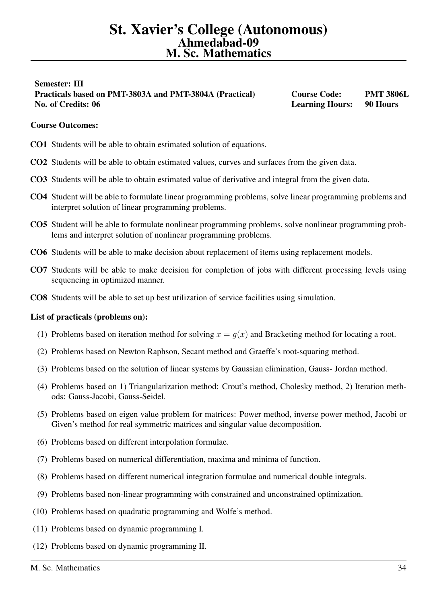# <span id="page-33-0"></span>Semester: III Practicals based on PMT-3803A and PMT-3804A (Practical) Course Code: PMT 3806L No. of Credits: 06 **Learning Hours:** 90 Hours: 1998 Hours: 1998 Hours: 1998 Hours: 1998 Hours: 1998 Hours: 1998 Hours: 1998 Hours: 1998 Hours: 1998 Hours: 1998 Hours: 1998 Hours: 1998 Hours: 1998 Hours: 1998 Hours: 1998 Ho

# Course Outcomes:

- CO1 Students will be able to obtain estimated solution of equations.
- CO2 Students will be able to obtain estimated values, curves and surfaces from the given data.
- CO3 Students will be able to obtain estimated value of derivative and integral from the given data.
- CO4 Student will be able to formulate linear programming problems, solve linear programming problems and interpret solution of linear programming problems.
- CO5 Student will be able to formulate nonlinear programming problems, solve nonlinear programming problems and interpret solution of nonlinear programming problems.
- CO6 Students will be able to make decision about replacement of items using replacement models.
- CO7 Students will be able to make decision for completion of jobs with different processing levels using sequencing in optimized manner.
- CO8 Students will be able to set up best utilization of service facilities using simulation.

- (1) Problems based on iteration method for solving  $x = g(x)$  and Bracketing method for locating a root.
- (2) Problems based on Newton Raphson, Secant method and Graeffe's root-squaring method.
- (3) Problems based on the solution of linear systems by Gaussian elimination, Gauss- Jordan method.
- (4) Problems based on 1) Triangularization method: Crout's method, Cholesky method, 2) Iteration methods: Gauss-Jacobi, Gauss-Seidel.
- (5) Problems based on eigen value problem for matrices: Power method, inverse power method, Jacobi or Given's method for real symmetric matrices and singular value decomposition.
- (6) Problems based on different interpolation formulae.
- (7) Problems based on numerical differentiation, maxima and minima of function.
- (8) Problems based on different numerical integration formulae and numerical double integrals.
- (9) Problems based non-linear programming with constrained and unconstrained optimization.
- (10) Problems based on quadratic programming and Wolfe's method.
- (11) Problems based on dynamic programming I.
- (12) Problems based on dynamic programming II.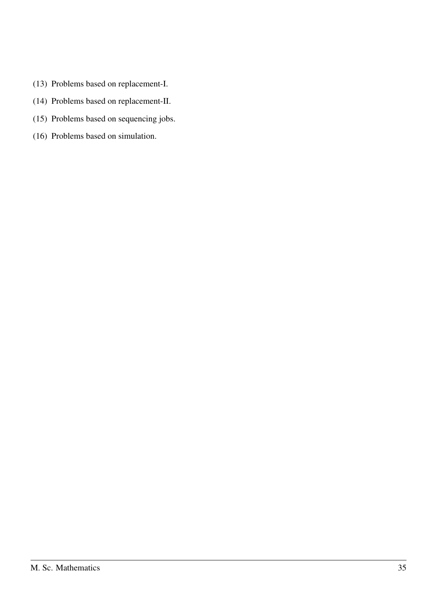- (13) Problems based on replacement-I.
- (14) Problems based on replacement-II.
- (15) Problems based on sequencing jobs.
- (16) Problems based on simulation.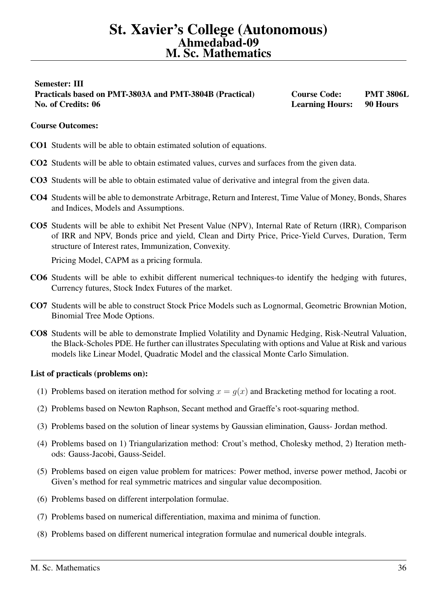# <span id="page-35-0"></span>Semester: III Practicals based on PMT-3803A and PMT-3804B (Practical) Course Code: PMT 3806L No. of Credits: 06 **Learning Hours:** 90 Hours: 1998 Hours: 1998 Hours: 1998 Hours: 1998 Hours: 1998 Hours: 1998 Hours: 1998 Hours: 1998 Hours: 1998 Hours: 1998 Hours: 1998 Hours: 1998 Hours: 1998 Hours: 1998 Hours: 1998 Ho

# Course Outcomes:

- CO1 Students will be able to obtain estimated solution of equations.
- CO2 Students will be able to obtain estimated values, curves and surfaces from the given data.
- CO3 Students will be able to obtain estimated value of derivative and integral from the given data.
- CO4 Students will be able to demonstrate Arbitrage, Return and Interest, Time Value of Money, Bonds, Shares and Indices, Models and Assumptions.
- CO5 Students will be able to exhibit Net Present Value (NPV), Internal Rate of Return (IRR), Comparison of IRR and NPV, Bonds price and yield, Clean and Dirty Price, Price-Yield Curves, Duration, Term structure of Interest rates, Immunization, Convexity.

Pricing Model, CAPM as a pricing formula.

- CO6 Students will be able to exhibit different numerical techniques-to identify the hedging with futures, Currency futures, Stock Index Futures of the market.
- CO7 Students will be able to construct Stock Price Models such as Lognormal, Geometric Brownian Motion, Binomial Tree Mode Options.
- CO8 Students will be able to demonstrate Implied Volatility and Dynamic Hedging, Risk-Neutral Valuation, the Black-Scholes PDE. He further can illustrates Speculating with options and Value at Risk and various models like Linear Model, Quadratic Model and the classical Monte Carlo Simulation.

- (1) Problems based on iteration method for solving  $x = g(x)$  and Bracketing method for locating a root.
- (2) Problems based on Newton Raphson, Secant method and Graeffe's root-squaring method.
- (3) Problems based on the solution of linear systems by Gaussian elimination, Gauss- Jordan method.
- (4) Problems based on 1) Triangularization method: Crout's method, Cholesky method, 2) Iteration methods: Gauss-Jacobi, Gauss-Seidel.
- (5) Problems based on eigen value problem for matrices: Power method, inverse power method, Jacobi or Given's method for real symmetric matrices and singular value decomposition.
- (6) Problems based on different interpolation formulae.
- (7) Problems based on numerical differentiation, maxima and minima of function.
- (8) Problems based on different numerical integration formulae and numerical double integrals.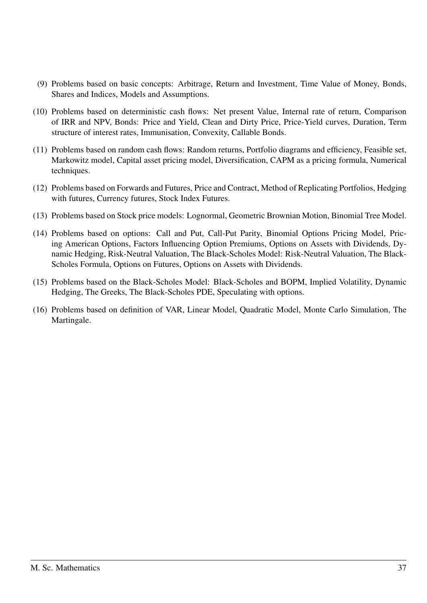- (9) Problems based on basic concepts: Arbitrage, Return and Investment, Time Value of Money, Bonds, Shares and Indices, Models and Assumptions.
- (10) Problems based on deterministic cash flows: Net present Value, Internal rate of return, Comparison of IRR and NPV, Bonds: Price and Yield, Clean and Dirty Price, Price-Yield curves, Duration, Term structure of interest rates, Immunisation, Convexity, Callable Bonds.
- (11) Problems based on random cash flows: Random returns, Portfolio diagrams and efficiency, Feasible set, Markowitz model, Capital asset pricing model, Diversification, CAPM as a pricing formula, Numerical techniques.
- (12) Problems based on Forwards and Futures, Price and Contract, Method of Replicating Portfolios, Hedging with futures, Currency futures, Stock Index Futures.
- (13) Problems based on Stock price models: Lognormal, Geometric Brownian Motion, Binomial Tree Model.
- (14) Problems based on options: Call and Put, Call-Put Parity, Binomial Options Pricing Model, Pricing American Options, Factors Influencing Option Premiums, Options on Assets with Dividends, Dynamic Hedging, Risk-Neutral Valuation, The Black-Scholes Model: Risk-Neutral Valuation, The Black-Scholes Formula, Options on Futures, Options on Assets with Dividends.
- (15) Problems based on the Black-Scholes Model: Black-Scholes and BOPM, Implied Volatility, Dynamic Hedging, The Greeks, The Black-Scholes PDE, Speculating with options.
- (16) Problems based on definition of VAR, Linear Model, Quadratic Model, Monte Carlo Simulation, The Martingale.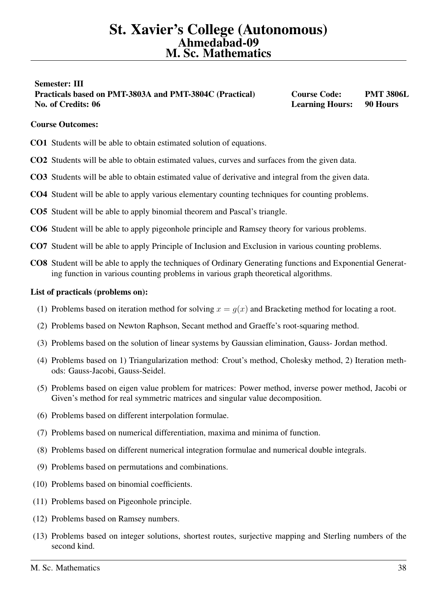# <span id="page-37-0"></span>Semester: III Practicals based on PMT-3803A and PMT-3804C (Practical) Course Code: PMT 3806L No. of Credits: 06 **Learning Hours:** 90 Hours: 1998 Hours: 1998 Hours: 1998 Hours: 1998 Hours: 1998 Hours: 1998 Hours: 1998 Hours: 1998 Hours: 1998 Hours: 1998 Hours: 1998 Hours: 1998 Hours: 1998 Hours: 1998 Hours: 1998 Ho

# Course Outcomes:

- CO1 Students will be able to obtain estimated solution of equations.
- CO2 Students will be able to obtain estimated values, curves and surfaces from the given data.
- CO3 Students will be able to obtain estimated value of derivative and integral from the given data.
- CO4 Student will be able to apply various elementary counting techniques for counting problems.
- CO5 Student will be able to apply binomial theorem and Pascal's triangle.
- CO6 Student will be able to apply pigeonhole principle and Ramsey theory for various problems.
- CO7 Student will be able to apply Principle of Inclusion and Exclusion in various counting problems.
- CO8 Student will be able to apply the techniques of Ordinary Generating functions and Exponential Generating function in various counting problems in various graph theoretical algorithms.

- (1) Problems based on iteration method for solving  $x = g(x)$  and Bracketing method for locating a root.
- (2) Problems based on Newton Raphson, Secant method and Graeffe's root-squaring method.
- (3) Problems based on the solution of linear systems by Gaussian elimination, Gauss- Jordan method.
- (4) Problems based on 1) Triangularization method: Crout's method, Cholesky method, 2) Iteration methods: Gauss-Jacobi, Gauss-Seidel.
- (5) Problems based on eigen value problem for matrices: Power method, inverse power method, Jacobi or Given's method for real symmetric matrices and singular value decomposition.
- (6) Problems based on different interpolation formulae.
- (7) Problems based on numerical differentiation, maxima and minima of function.
- (8) Problems based on different numerical integration formulae and numerical double integrals.
- (9) Problems based on permutations and combinations.
- (10) Problems based on binomial coefficients.
- (11) Problems based on Pigeonhole principle.
- (12) Problems based on Ramsey numbers.
- (13) Problems based on integer solutions, shortest routes, surjective mapping and Sterling numbers of the second kind.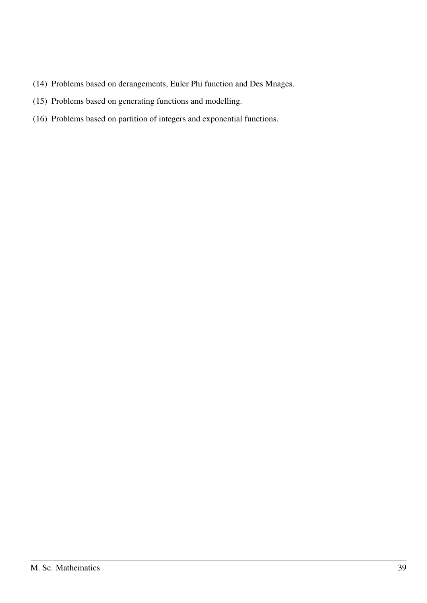- (14) Problems based on derangements, Euler Phi function and Des Mnages.
- (15) Problems based on generating functions and modelling.
- (16) Problems based on partition of integers and exponential functions.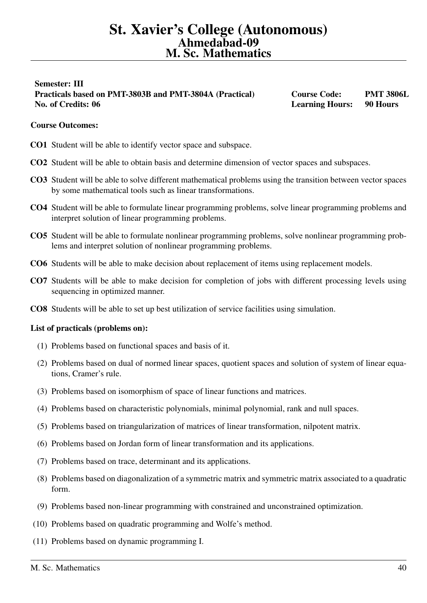# <span id="page-39-0"></span>Semester: III Practicals based on PMT-3803B and PMT-3804A (Practical) Course Code: PMT 3806L No. of Credits: 06 **Learning Hours:** 90 Hours: 1998 Hours: 1998 Hours: 1998 Hours: 1998 Hours: 1998 Hours: 1998 Hours: 1998 Hours: 1998 Hours: 1998 Hours: 1998 Hours: 1998 Hours: 1998 Hours: 1998 Hours: 1998 Hours: 1998 Ho

# Course Outcomes:

- CO1 Student will be able to identify vector space and subspace.
- CO2 Student will be able to obtain basis and determine dimension of vector spaces and subspaces.
- CO3 Student will be able to solve different mathematical problems using the transition between vector spaces by some mathematical tools such as linear transformations.
- CO4 Student will be able to formulate linear programming problems, solve linear programming problems and interpret solution of linear programming problems.
- CO5 Student will be able to formulate nonlinear programming problems, solve nonlinear programming problems and interpret solution of nonlinear programming problems.
- CO6 Students will be able to make decision about replacement of items using replacement models.
- CO7 Students will be able to make decision for completion of jobs with different processing levels using sequencing in optimized manner.
- CO8 Students will be able to set up best utilization of service facilities using simulation.

- (1) Problems based on functional spaces and basis of it.
- (2) Problems based on dual of normed linear spaces, quotient spaces and solution of system of linear equations, Cramer's rule.
- (3) Problems based on isomorphism of space of linear functions and matrices.
- (4) Problems based on characteristic polynomials, minimal polynomial, rank and null spaces.
- (5) Problems based on triangularization of matrices of linear transformation, nilpotent matrix.
- (6) Problems based on Jordan form of linear transformation and its applications.
- (7) Problems based on trace, determinant and its applications.
- (8) Problems based on diagonalization of a symmetric matrix and symmetric matrix associated to a quadratic form.
- (9) Problems based non-linear programming with constrained and unconstrained optimization.
- (10) Problems based on quadratic programming and Wolfe's method.
- (11) Problems based on dynamic programming I.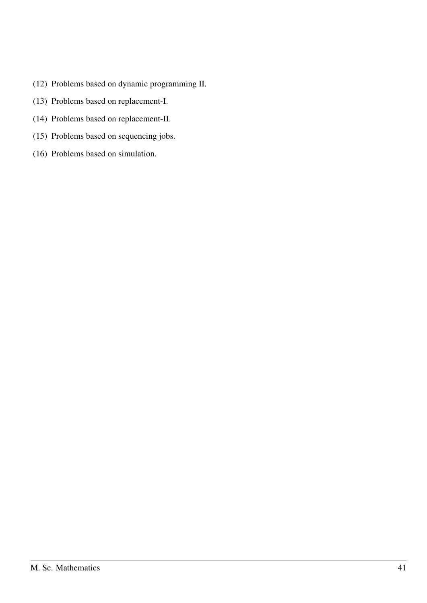- (12) Problems based on dynamic programming II.
- (13) Problems based on replacement-I.
- (14) Problems based on replacement-II.
- (15) Problems based on sequencing jobs.
- (16) Problems based on simulation.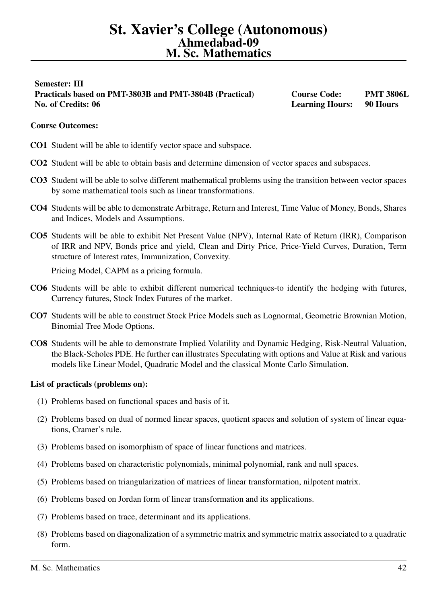# <span id="page-41-0"></span>Semester: III Practicals based on PMT-3803B and PMT-3804B (Practical) Course Code: PMT 3806L No. of Credits: 06 **Learning Hours:** 90 Hours: 1998 **Learning Hours: 1998** Hours: 1998 **Hours:** 1998 **Hours:** 1998 **Hours:** 1998 **Hours:** 1998 **Hours:** 1998 **Hours:** 1998 **Hours:** 1998 **Hours:** 1998 **Hours:** 1998 **Hours:**

# Course Outcomes:

- CO1 Student will be able to identify vector space and subspace.
- CO2 Student will be able to obtain basis and determine dimension of vector spaces and subspaces.
- CO3 Student will be able to solve different mathematical problems using the transition between vector spaces by some mathematical tools such as linear transformations.
- CO4 Students will be able to demonstrate Arbitrage, Return and Interest, Time Value of Money, Bonds, Shares and Indices, Models and Assumptions.
- CO5 Students will be able to exhibit Net Present Value (NPV), Internal Rate of Return (IRR), Comparison of IRR and NPV, Bonds price and yield, Clean and Dirty Price, Price-Yield Curves, Duration, Term structure of Interest rates, Immunization, Convexity.

Pricing Model, CAPM as a pricing formula.

- CO6 Students will be able to exhibit different numerical techniques-to identify the hedging with futures, Currency futures, Stock Index Futures of the market.
- CO7 Students will be able to construct Stock Price Models such as Lognormal, Geometric Brownian Motion, Binomial Tree Mode Options.
- CO8 Students will be able to demonstrate Implied Volatility and Dynamic Hedging, Risk-Neutral Valuation, the Black-Scholes PDE. He further can illustrates Speculating with options and Value at Risk and various models like Linear Model, Quadratic Model and the classical Monte Carlo Simulation.

- (1) Problems based on functional spaces and basis of it.
- (2) Problems based on dual of normed linear spaces, quotient spaces and solution of system of linear equations, Cramer's rule.
- (3) Problems based on isomorphism of space of linear functions and matrices.
- (4) Problems based on characteristic polynomials, minimal polynomial, rank and null spaces.
- (5) Problems based on triangularization of matrices of linear transformation, nilpotent matrix.
- (6) Problems based on Jordan form of linear transformation and its applications.
- (7) Problems based on trace, determinant and its applications.
- (8) Problems based on diagonalization of a symmetric matrix and symmetric matrix associated to a quadratic form.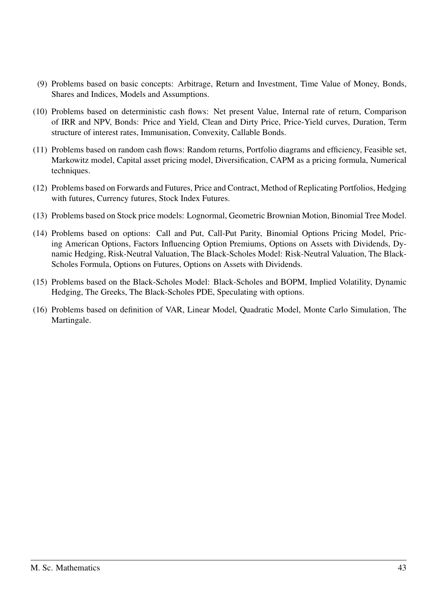- (9) Problems based on basic concepts: Arbitrage, Return and Investment, Time Value of Money, Bonds, Shares and Indices, Models and Assumptions.
- (10) Problems based on deterministic cash flows: Net present Value, Internal rate of return, Comparison of IRR and NPV, Bonds: Price and Yield, Clean and Dirty Price, Price-Yield curves, Duration, Term structure of interest rates, Immunisation, Convexity, Callable Bonds.
- (11) Problems based on random cash flows: Random returns, Portfolio diagrams and efficiency, Feasible set, Markowitz model, Capital asset pricing model, Diversification, CAPM as a pricing formula, Numerical techniques.
- (12) Problems based on Forwards and Futures, Price and Contract, Method of Replicating Portfolios, Hedging with futures, Currency futures, Stock Index Futures.
- (13) Problems based on Stock price models: Lognormal, Geometric Brownian Motion, Binomial Tree Model.
- (14) Problems based on options: Call and Put, Call-Put Parity, Binomial Options Pricing Model, Pricing American Options, Factors Influencing Option Premiums, Options on Assets with Dividends, Dynamic Hedging, Risk-Neutral Valuation, The Black-Scholes Model: Risk-Neutral Valuation, The Black-Scholes Formula, Options on Futures, Options on Assets with Dividends.
- (15) Problems based on the Black-Scholes Model: Black-Scholes and BOPM, Implied Volatility, Dynamic Hedging, The Greeks, The Black-Scholes PDE, Speculating with options.
- (16) Problems based on definition of VAR, Linear Model, Quadratic Model, Monte Carlo Simulation, The Martingale.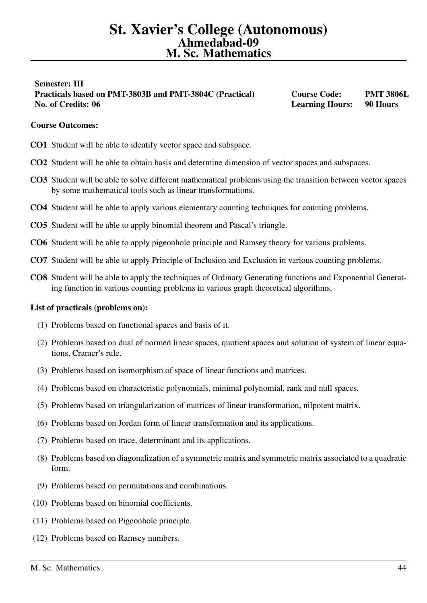# <span id="page-43-0"></span>Semester: III Practicals based on PMT-3803B and PMT-3804C (Practical) Course Code: PMT 3806L No. of Credits: 06 **Learning Hours:** 90 Hours: 1998 Hours: 1998 Hours: 1998 Hours: 1998 Hours: 1998 Hours: 1998 Hours: 1998 Hours: 1998 Hours: 1998 Hours: 1998 Hours: 1998 Hours: 1998 Hours: 1998 Hours: 1998 Hours: 1998 Ho

# Course Outcomes:

- CO1 Student will be able to identify vector space and subspace.
- CO2 Student will be able to obtain basis and determine dimension of vector spaces and subspaces.
- CO3 Student will be able to solve different mathematical problems using the transition between vector spaces by some mathematical tools such as linear transformations.
- CO4 Student will be able to apply various elementary counting techniques for counting problems.
- CO5 Student will be able to apply binomial theorem and Pascal's triangle.
- CO6 Student will be able to apply pigeonhole principle and Ramsey theory for various problems.
- CO7 Student will be able to apply Principle of Inclusion and Exclusion in various counting problems.
- CO8 Student will be able to apply the techniques of Ordinary Generating functions and Exponential Generating function in various counting problems in various graph theoretical algorithms.

- (1) Problems based on functional spaces and basis of it.
- (2) Problems based on dual of normed linear spaces, quotient spaces and solution of system of linear equations, Cramer's rule.
- (3) Problems based on isomorphism of space of linear functions and matrices.
- (4) Problems based on characteristic polynomials, minimal polynomial, rank and null spaces.
- (5) Problems based on triangularization of matrices of linear transformation, nilpotent matrix.
- (6) Problems based on Jordan form of linear transformation and its applications.
- (7) Problems based on trace, determinant and its applications.
- (8) Problems based on diagonalization of a symmetric matrix and symmetric matrix associated to a quadratic form.
- (9) Problems based on permutations and combinations.
- (10) Problems based on binomial coefficients.
- (11) Problems based on Pigeonhole principle.
- (12) Problems based on Ramsey numbers.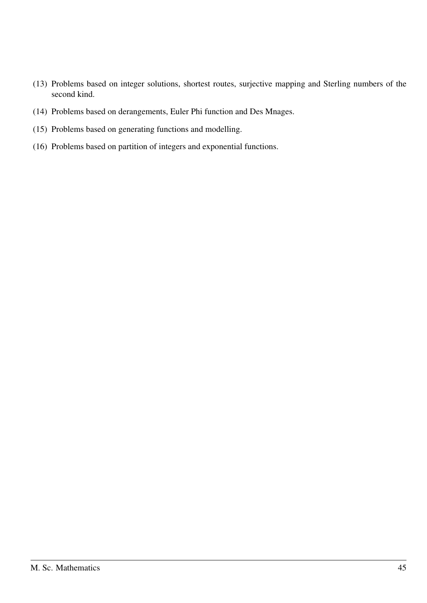- (13) Problems based on integer solutions, shortest routes, surjective mapping and Sterling numbers of the second kind.
- (14) Problems based on derangements, Euler Phi function and Des Mnages.
- (15) Problems based on generating functions and modelling.
- (16) Problems based on partition of integers and exponential functions.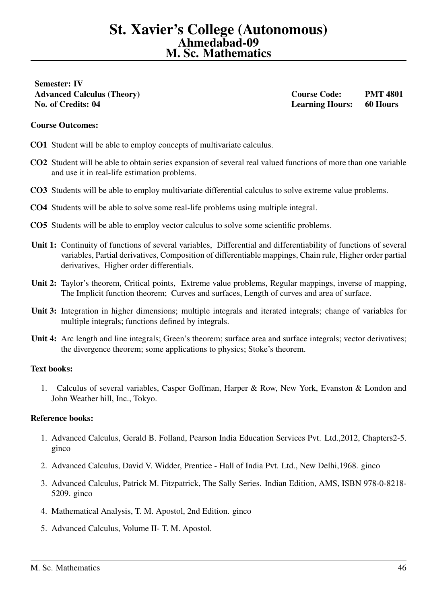<span id="page-45-0"></span>Semester: IV No. of Credits: 04 Learning Hours: 60 Hours

Advanced Calculus (Theory) Course Code: PMT 4801

# Course Outcomes:

- CO1 Student will be able to employ concepts of multivariate calculus.
- CO2 Student will be able to obtain series expansion of several real valued functions of more than one variable and use it in real-life estimation problems.
- CO3 Students will be able to employ multivariate differential calculus to solve extreme value problems.
- CO4 Students will be able to solve some real-life problems using multiple integral.
- CO5 Students will be able to employ vector calculus to solve some scientific problems.
- Unit 1: Continuity of functions of several variables, Differential and differentiability of functions of several variables, Partial derivatives, Composition of differentiable mappings, Chain rule, Higher order partial derivatives, Higher order differentials.
- Unit 2: Taylor's theorem, Critical points, Extreme value problems, Regular mappings, inverse of mapping, The Implicit function theorem; Curves and surfaces, Length of curves and area of surface.
- Unit 3: Integration in higher dimensions; multiple integrals and iterated integrals; change of variables for multiple integrals; functions defined by integrals.
- Unit 4: Arc length and line integrals; Green's theorem; surface area and surface integrals; vector derivatives; the divergence theorem; some applications to physics; Stoke's theorem.

### Text books:

1. Calculus of several variables, Casper Goffman, Harper & Row, New York, Evanston & London and John Weather hill, Inc., Tokyo.

- 1. Advanced Calculus, Gerald B. Folland, Pearson India Education Services Pvt. Ltd.,2012, Chapters2-5. ginco
- 2. Advanced Calculus, David V. Widder, Prentice Hall of India Pvt. Ltd., New Delhi,1968. ginco
- 3. Advanced Calculus, Patrick M. Fitzpatrick, The Sally Series. Indian Edition, AMS, ISBN 978-0-8218- 5209. ginco
- 4. Mathematical Analysis, T. M. Apostol, 2nd Edition. ginco
- 5. Advanced Calculus, Volume II- T. M. Apostol.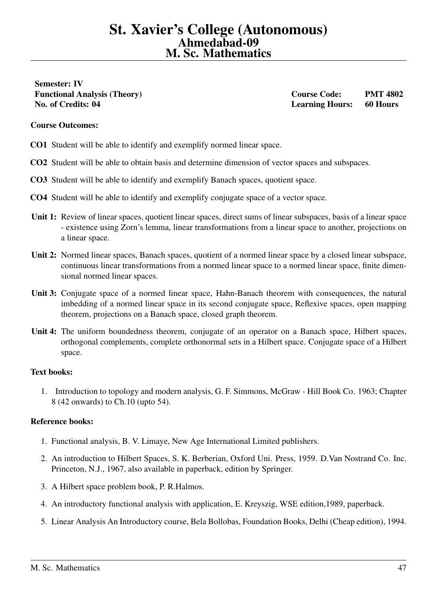<span id="page-46-0"></span>Semester: IV No. of Credits: 04 Learning Hours: 60 Hours

Functional Analysis (Theory) Course Code: PMT 4802

## Course Outcomes:

- CO1 Student will be able to identify and exemplify normed linear space.
- CO2 Student will be able to obtain basis and determine dimension of vector spaces and subspaces.
- CO3 Student will be able to identify and exemplify Banach spaces, quotient space.
- CO4 Student will be able to identify and exemplify conjugate space of a vector space.
- Unit 1: Review of linear spaces, quotient linear spaces, direct sums of linear subspaces, basis of a linear space - existence using Zorn's lemma, linear transformations from a linear space to another, projections on a linear space.
- Unit 2: Normed linear spaces, Banach spaces, quotient of a normed linear space by a closed linear subspace, continuous linear transformations from a normed linear space to a normed linear space, finite dimensional normed linear spaces.
- Unit 3: Conjugate space of a normed linear space, Hahn-Banach theorem with consequences, the natural imbedding of a normed linear space in its second conjugate space, Reflexive spaces, open mapping theorem, projections on a Banach space, closed graph theorem.
- Unit 4: The uniform boundedness theorem, conjugate of an operator on a Banach space, Hilbert spaces, orthogonal complements, complete orthonormal sets in a Hilbert space. Conjugate space of a Hilbert space.

# Text books:

1. Introduction to topology and modern analysis, G. F. Simmons, McGraw - Hill Book Co. 1963; Chapter 8 (42 onwards) to Ch.10 (upto 54).

- 1. Functional analysis, B. V. Limaye, New Age International Limited publishers.
- 2. An introduction to Hilbert Spaces, S. K. Berberian, Oxford Uni. Press, 1959. D.Van Nostrand Co. Inc. Princeton, N.J., 1967, also available in paperback, edition by Springer.
- 3. A Hilbert space problem book, P. R.Halmos.
- 4. An introductory functional analysis with application, E. Kreyszig, WSE edition,1989, paperback.
- 5. Linear Analysis An Introductory course, Bela Bollobas, Foundation Books, Delhi (Cheap edition), 1994.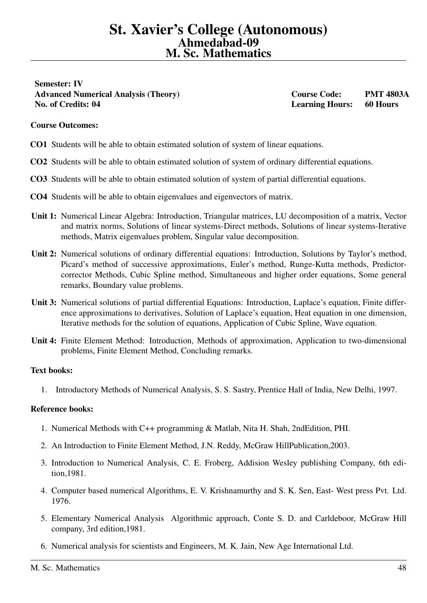<span id="page-47-0"></span>Semester: IV Advanced Numerical Analysis (Theory) Course Code: PMT 4803A No. of Credits: 04 Learning Hours: 60 Hours

# Course Outcomes:

- CO1 Students will be able to obtain estimated solution of system of linear equations.
- CO2 Students will be able to obtain estimated solution of system of ordinary differential equations.
- CO3 Students will be able to obtain estimated solution of system of partial differential equations.
- CO4 Students will be able to obtain eigenvalues and eigenvectors of matrix.
- Unit 1: Numerical Linear Algebra: Introduction, Triangular matrices, LU decomposition of a matrix, Vector and matrix norms, Solutions of linear systems-Direct methods, Solutions of linear systems-Iterative methods, Matrix eigenvalues problem, Singular value decomposition.
- Unit 2: Numerical solutions of ordinary differential equations: Introduction, Solutions by Taylor's method, Picard's method of successive approximations, Euler's method, Runge-Kutta methods, Predictorcorrector Methods, Cubic Spline method, Simultaneous and higher order equations, Some general remarks, Boundary value problems.
- Unit 3: Numerical solutions of partial differential Equations: Introduction, Laplace's equation, Finite difference approximations to derivatives, Solution of Laplace's equation, Heat equation in one dimension, Iterative methods for the solution of equations, Application of Cubic Spline, Wave equation.
- Unit 4: Finite Element Method: Introduction, Methods of approximation, Application to two-dimensional problems, Finite Element Method, Concluding remarks.

### Text books:

1. Introductory Methods of Numerical Analysis, S. S. Sastry, Prentice Hall of India, New Delhi, 1997.

- 1. Numerical Methods with C++ programming & Matlab, Nita H. Shah, 2ndEdition, PHI.
- 2. An Introduction to Finite Element Method, J.N. Reddy, McGraw HillPublication,2003.
- 3. Introduction to Numerical Analysis, C. E. Froberg, Addision Wesley publishing Company, 6th edition,1981.
- 4. Computer based numerical Algorithms, E. V. Krishnamurthy and S. K. Sen, East- West press Pvt. Ltd. 1976.
- 5. Elementary Numerical Analysis Algorithmic approach, Conte S. D. and Carldeboor, McGraw Hill company, 3rd edition,1981.
- 6. Numerical analysis for scientists and Engineers, M. K. Jain, New Age International Ltd.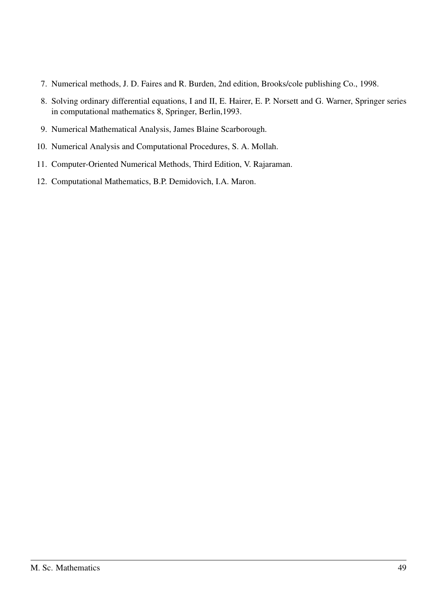- 7. Numerical methods, J. D. Faires and R. Burden, 2nd edition, Brooks/cole publishing Co., 1998.
- 8. Solving ordinary differential equations, I and II, E. Hairer, E. P. Norsett and G. Warner, Springer series in computational mathematics 8, Springer, Berlin,1993.
- 9. Numerical Mathematical Analysis, James Blaine Scarborough.
- 10. Numerical Analysis and Computational Procedures, S. A. Mollah.
- 11. Computer-Oriented Numerical Methods, Third Edition, V. Rajaraman.
- 12. Computational Mathematics, B.P. Demidovich, I.A. Maron.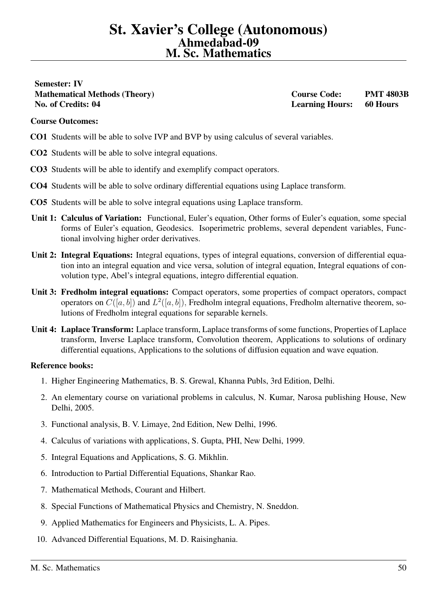<span id="page-49-0"></span>Semester: IV Mathematical Methods (Theory) Course Code: PMT 4803B No. of Credits: 04 Learning Hours: 60 Hours

# Course Outcomes:

- CO1 Students will be able to solve IVP and BVP by using calculus of several variables.
- CO2 Students will be able to solve integral equations.
- CO3 Students will be able to identify and exemplify compact operators.
- CO4 Students will be able to solve ordinary differential equations using Laplace transform.
- CO5 Students will be able to solve integral equations using Laplace transform.
- Unit 1: Calculus of Variation: Functional, Euler's equation, Other forms of Euler's equation, some special forms of Euler's equation, Geodesics. Isoperimetric problems, several dependent variables, Functional involving higher order derivatives.
- Unit 2: Integral Equations: Integral equations, types of integral equations, conversion of differential equation into an integral equation and vice versa, solution of integral equation, Integral equations of convolution type, Abel's integral equations, integro differential equation.
- Unit 3: Fredholm integral equations: Compact operators, some properties of compact operators, compact operators on  $C([a, b])$  and  $L^2([a, b])$ , Fredholm integral equations, Fredholm alternative theorem, solutions of Fredholm integral equations for separable kernels.
- Unit 4: Laplace Transform: Laplace transform, Laplace transforms of some functions, Properties of Laplace transform, Inverse Laplace transform, Convolution theorem, Applications to solutions of ordinary differential equations, Applications to the solutions of diffusion equation and wave equation.

- 1. Higher Engineering Mathematics, B. S. Grewal, Khanna Publs, 3rd Edition, Delhi.
- 2. An elementary course on variational problems in calculus, N. Kumar, Narosa publishing House, New Delhi, 2005.
- 3. Functional analysis, B. V. Limaye, 2nd Edition, New Delhi, 1996.
- 4. Calculus of variations with applications, S. Gupta, PHI, New Delhi, 1999.
- 5. Integral Equations and Applications, S. G. Mikhlin.
- 6. Introduction to Partial Differential Equations, Shankar Rao.
- 7. Mathematical Methods, Courant and Hilbert.
- 8. Special Functions of Mathematical Physics and Chemistry, N. Sneddon.
- 9. Applied Mathematics for Engineers and Physicists, L. A. Pipes.
- 10. Advanced Differential Equations, M. D. Raisinghania.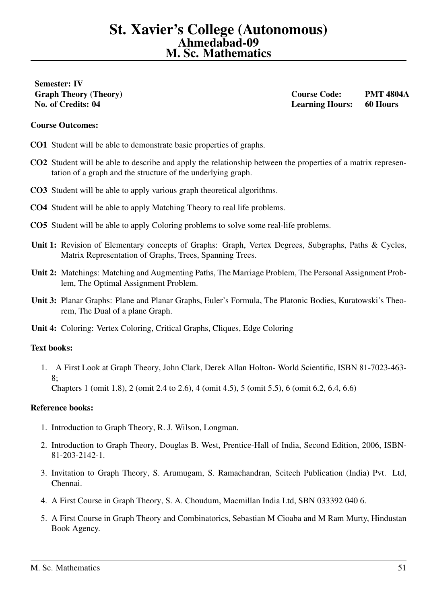# <span id="page-50-0"></span>Semester: IV

Graph Theory (Theory) Course Code: PMT 4804A No. of Credits: 04 Learning Hours: 60 Hours

# Course Outcomes:

- CO1 Student will be able to demonstrate basic properties of graphs.
- CO2 Student will be able to describe and apply the relationship between the properties of a matrix representation of a graph and the structure of the underlying graph.
- CO3 Student will be able to apply various graph theoretical algorithms.
- CO4 Student will be able to apply Matching Theory to real life problems.
- CO5 Student will be able to apply Coloring problems to solve some real-life problems.
- Unit 1: Revision of Elementary concepts of Graphs: Graph, Vertex Degrees, Subgraphs, Paths & Cycles, Matrix Representation of Graphs, Trees, Spanning Trees.
- Unit 2: Matchings: Matching and Augmenting Paths, The Marriage Problem, The Personal Assignment Problem, The Optimal Assignment Problem.
- Unit 3: Planar Graphs: Plane and Planar Graphs, Euler's Formula, The Platonic Bodies, Kuratowski's Theorem, The Dual of a plane Graph.
- Unit 4: Coloring: Vertex Coloring, Critical Graphs, Cliques, Edge Coloring

# Text books:

1. A First Look at Graph Theory, John Clark, Derek Allan Holton- World Scientific, ISBN 81-7023-463- 8;

Chapters 1 (omit 1.8), 2 (omit 2.4 to 2.6), 4 (omit 4.5), 5 (omit 5.5), 6 (omit 6.2, 6.4, 6.6)

- 1. Introduction to Graph Theory, R. J. Wilson, Longman.
- 2. Introduction to Graph Theory, Douglas B. West, Prentice-Hall of India, Second Edition, 2006, ISBN-81-203-2142-1.
- 3. Invitation to Graph Theory, S. Arumugam, S. Ramachandran, Scitech Publication (India) Pvt. Ltd, Chennai.
- 4. A First Course in Graph Theory, S. A. Choudum, Macmillan India Ltd, SBN 033392 040 6.
- 5. A First Course in Graph Theory and Combinatorics, Sebastian M Cioaba and M Ram Murty, Hindustan Book Agency.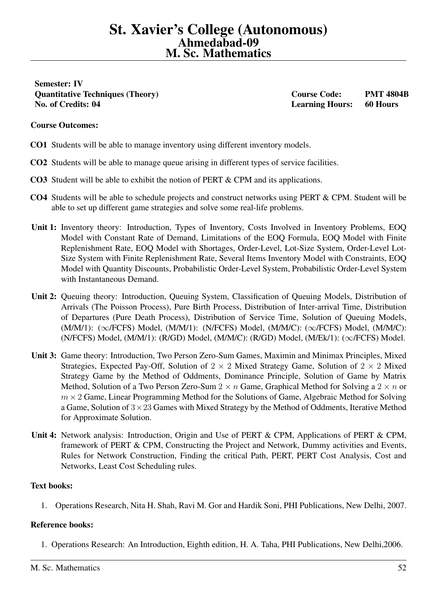<span id="page-51-0"></span>Semester: IV Quantitative Techniques (Theory) Course Code: PMT 4804B No. of Credits: 04 Learning Hours: 60 Hours

# Course Outcomes:

- CO1 Students will be able to manage inventory using different inventory models.
- CO2 Students will be able to manage queue arising in different types of service facilities.
- CO3 Student will be able to exhibit the notion of PERT & CPM and its applications.
- CO4 Students will be able to schedule projects and construct networks using PERT & CPM. Student will be able to set up different game strategies and solve some real-life problems.
- Unit 1: Inventory theory: Introduction, Types of Inventory, Costs Involved in Inventory Problems, EOQ Model with Constant Rate of Demand, Limitations of the EOQ Formula, EOQ Model with Finite Replenishment Rate, EOQ Model with Shortages, Order-Level, Lot-Size System, Order-Level Lot-Size System with Finite Replenishment Rate, Several Items Inventory Model with Constraints, EOQ Model with Quantity Discounts, Probabilistic Order-Level System, Probabilistic Order-Level System with Instantaneous Demand.
- Unit 2: Queuing theory: Introduction, Queuing System, Classification of Queuing Models, Distribution of Arrivals (The Poisson Process), Pure Birth Process, Distribution of Inter-arrival Time, Distribution of Departures (Pure Death Process), Distribution of Service Time, Solution of Queuing Models, (M/M/1): (∞/FCFS) Model, (M/M/1): (N/FCFS) Model, (M/M/C): (∞/FCFS) Model, (M/M/C):  $(N/FCFS)$  Model,  $(M/M/1)$ :  $(R/GD)$  Model,  $(M/M/C)$ :  $(R/GD)$  Model,  $(M/Ek/1)$ :  $(\infty$ /FCFS) Model.
- Unit 3: Game theory: Introduction, Two Person Zero-Sum Games, Maximin and Minimax Principles, Mixed Strategies, Expected Pay-Off, Solution of  $2 \times 2$  Mixed Strategy Game, Solution of  $2 \times 2$  Mixed Strategy Game by the Method of Oddments, Dominance Principle, Solution of Game by Matrix Method, Solution of a Two Person Zero-Sum  $2 \times n$  Game, Graphical Method for Solving a  $2 \times n$  or  $m \times 2$  Game, Linear Programming Method for the Solutions of Game, Algebraic Method for Solving a Game, Solution of  $3 \times 23$  Games with Mixed Strategy by the Method of Oddments, Iterative Method for Approximate Solution.
- Unit 4: Network analysis: Introduction, Origin and Use of PERT & CPM, Applications of PERT & CPM, framework of PERT & CPM, Constructing the Project and Network, Dummy activities and Events, Rules for Network Construction, Finding the critical Path, PERT, PERT Cost Analysis, Cost and Networks, Least Cost Scheduling rules.

# Text books:

1. Operations Research, Nita H. Shah, Ravi M. Gor and Hardik Soni, PHI Publications, New Delhi, 2007.

# Reference books:

1. Operations Research: An Introduction, Eighth edition, H. A. Taha, PHI Publications, New Delhi,2006.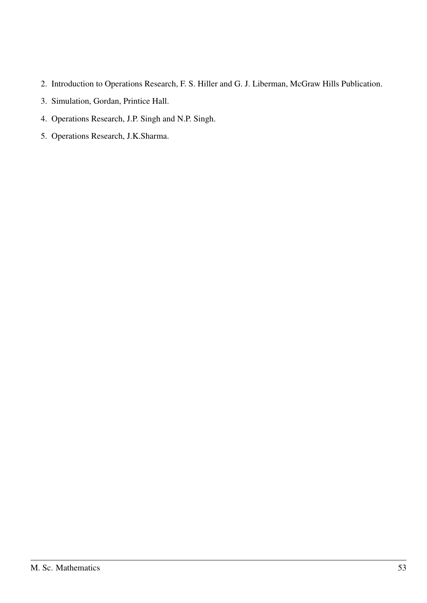- 2. Introduction to Operations Research, F. S. Hiller and G. J. Liberman, McGraw Hills Publication.
- 3. Simulation, Gordan, Printice Hall.
- 4. Operations Research, J.P. Singh and N.P. Singh.
- 5. Operations Research, J.K.Sharma.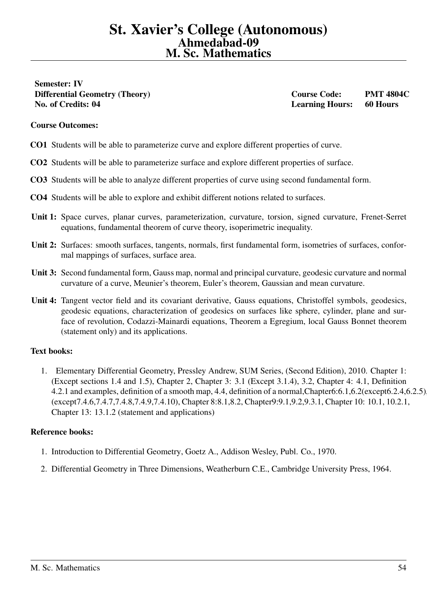<span id="page-53-0"></span>Semester: IV Differential Geometry (Theory) Course Code: PMT 4804C No. of Credits: 04 Learning Hours: 60 Hours

# Course Outcomes:

- CO1 Students will be able to parameterize curve and explore different properties of curve.
- CO2 Students will be able to parameterize surface and explore different properties of surface.
- CO3 Students will be able to analyze different properties of curve using second fundamental form.
- CO4 Students will be able to explore and exhibit different notions related to surfaces.
- Unit 1: Space curves, planar curves, parameterization, curvature, torsion, signed curvature, Frenet-Serret equations, fundamental theorem of curve theory, isoperimetric inequality.
- Unit 2: Surfaces: smooth surfaces, tangents, normals, first fundamental form, isometries of surfaces, conformal mappings of surfaces, surface area.
- Unit 3: Second fundamental form, Gauss map, normal and principal curvature, geodesic curvature and normal curvature of a curve, Meunier's theorem, Euler's theorem, Gaussian and mean curvature.
- Unit 4: Tangent vector field and its covariant derivative, Gauss equations, Christoffel symbols, geodesics, geodesic equations, characterization of geodesics on surfaces like sphere, cylinder, plane and surface of revolution, Codazzi-Mainardi equations, Theorem a Egregium, local Gauss Bonnet theorem (statement only) and its applications.

# Text books:

1. Elementary Differential Geometry, Pressley Andrew, SUM Series, (Second Edition), 2010. Chapter 1: (Except sections 1.4 and 1.5), Chapter 2, Chapter 3: 3.1 (Except 3.1.4), 3.2, Chapter 4: 4.1, Definition 4.2.1 and examples, definition of a smooth map, 4.4, definition of a normal, Chapter6:6.1, 6.2(except6.2.4, 6.2.5) (except7.4.6,7.4.7,7.4.8,7.4.9,7.4.10), Chapter 8:8.1,8.2, Chapter9:9.1,9.2,9.3.1, Chapter 10: 10.1, 10.2.1, Chapter 13: 13.1.2 (statement and applications)

- 1. Introduction to Differential Geometry, Goetz A., Addison Wesley, Publ. Co., 1970.
- 2. Differential Geometry in Three Dimensions, Weatherburn C.E., Cambridge University Press, 1964.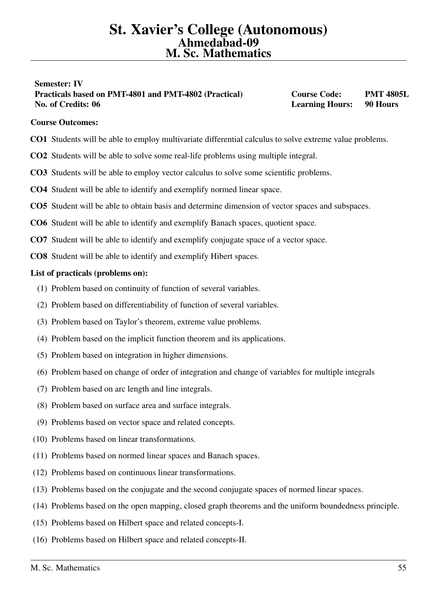# <span id="page-54-0"></span>Semester: IV Practicals based on PMT-4801 and PMT-4802 (Practical) Course Code: PMT 4805L No. of Credits: 06 **Learning Hours:** 90 Hours: 1998 Hours: 1998 Hours: 1998 Hours: 1998 Hours: 1998 Hours: 1998 Hours: 1998 Hours: 1998 Hours: 1998 Hours: 1998 Hours: 1998 Hours: 1998 Hours: 1998 Hours: 1998 Hours: 1998 Ho

# Course Outcomes:

- CO1 Students will be able to employ multivariate differential calculus to solve extreme value problems.
- CO2 Students will be able to solve some real-life problems using multiple integral.
- CO3 Students will be able to employ vector calculus to solve some scientific problems.
- CO4 Student will be able to identify and exemplify normed linear space.
- CO5 Student will be able to obtain basis and determine dimension of vector spaces and subspaces.
- CO6 Student will be able to identify and exemplify Banach spaces, quotient space.
- CO7 Student will be able to identify and exemplify conjugate space of a vector space.
- CO8 Student will be able to identify and exemplify Hibert spaces.

- (1) Problem based on continuity of function of several variables.
- (2) Problem based on differentiability of function of several variables.
- (3) Problem based on Taylor's theorem, extreme value problems.
- (4) Problem based on the implicit function theorem and its applications.
- (5) Problem based on integration in higher dimensions.
- (6) Problem based on change of order of integration and change of variables for multiple integrals
- (7) Problem based on arc length and line integrals.
- (8) Problem based on surface area and surface integrals.
- (9) Problems based on vector space and related concepts.
- (10) Problems based on linear transformations.
- (11) Problems based on normed linear spaces and Banach spaces.
- (12) Problems based on continuous linear transformations.
- (13) Problems based on the conjugate and the second conjugate spaces of normed linear spaces.
- (14) Problems based on the open mapping, closed graph theorems and the uniform boundedness principle.
- (15) Problems based on Hilbert space and related concepts-I.
- (16) Problems based on Hilbert space and related concepts-II.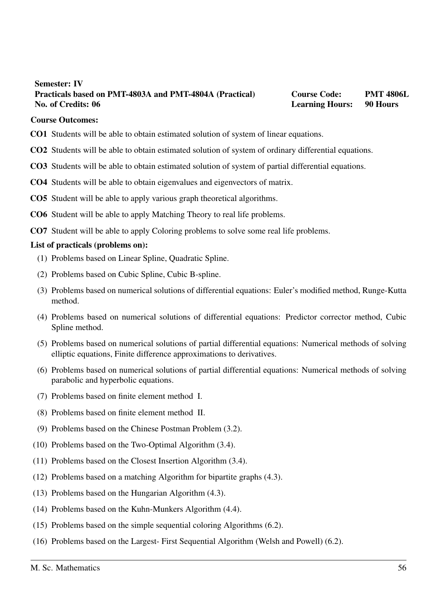# <span id="page-55-0"></span>Semester: IV Practicals based on PMT-4803A and PMT-4804A (Practical) Course Code: PMT 4806L No. of Credits: 06 **Learning Hours:** 90 Hours: 1998 Hours: 1998 Hours: 1998 Hours: 1998 Hours: 1998 Hours: 1998 Hours: 1998 Hours: 1998 Hours: 1998 Hours: 1998 Hours: 1998 Hours: 1998 Hours: 1998 Hours: 1998 Hours: 1998 Ho

### Course Outcomes:

- CO1 Students will be able to obtain estimated solution of system of linear equations.
- CO2 Students will be able to obtain estimated solution of system of ordinary differential equations.
- CO3 Students will be able to obtain estimated solution of system of partial differential equations.
- CO4 Students will be able to obtain eigenvalues and eigenvectors of matrix.
- CO5 Student will be able to apply various graph theoretical algorithms.
- CO6 Student will be able to apply Matching Theory to real life problems.
- CO7 Student will be able to apply Coloring problems to solve some real life problems.

- (1) Problems based on Linear Spline, Quadratic Spline.
- (2) Problems based on Cubic Spline, Cubic B-spline.
- (3) Problems based on numerical solutions of differential equations: Euler's modified method, Runge-Kutta method.
- (4) Problems based on numerical solutions of differential equations: Predictor corrector method, Cubic Spline method.
- (5) Problems based on numerical solutions of partial differential equations: Numerical methods of solving elliptic equations, Finite difference approximations to derivatives.
- (6) Problems based on numerical solutions of partial differential equations: Numerical methods of solving parabolic and hyperbolic equations.
- (7) Problems based on finite element method I.
- (8) Problems based on finite element method II.
- (9) Problems based on the Chinese Postman Problem (3.2).
- (10) Problems based on the Two-Optimal Algorithm (3.4).
- (11) Problems based on the Closest Insertion Algorithm (3.4).
- (12) Problems based on a matching Algorithm for bipartite graphs (4.3).
- (13) Problems based on the Hungarian Algorithm (4.3).
- (14) Problems based on the Kuhn-Munkers Algorithm (4.4).
- (15) Problems based on the simple sequential coloring Algorithms (6.2).
- (16) Problems based on the Largest- First Sequential Algorithm (Welsh and Powell) (6.2).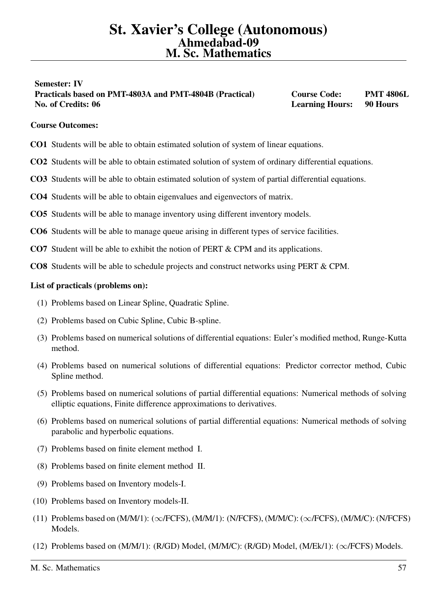# <span id="page-56-0"></span>Semester: IV Practicals based on PMT-4803A and PMT-4804B (Practical) Course Code: PMT 4806L No. of Credits: 06 **Learning Hours:** 90 Hours: 1998 Hours: 1998 Hours: 1998 Hours: 1998 Hours: 1998 Hours: 1998 Hours: 1998 Hours: 1998 Hours: 1998 Hours: 1998 Hours: 1998 Hours: 1998 Hours: 1998 Hours: 1998 Hours: 1998 Ho

# Course Outcomes:

- CO1 Students will be able to obtain estimated solution of system of linear equations.
- CO2 Students will be able to obtain estimated solution of system of ordinary differential equations.
- CO3 Students will be able to obtain estimated solution of system of partial differential equations.
- CO4 Students will be able to obtain eigenvalues and eigenvectors of matrix.
- CO5 Students will be able to manage inventory using different inventory models.
- CO6 Students will be able to manage queue arising in different types of service facilities.
- CO7 Student will be able to exhibit the notion of PERT & CPM and its applications.
- CO8 Students will be able to schedule projects and construct networks using PERT & CPM.

- (1) Problems based on Linear Spline, Quadratic Spline.
- (2) Problems based on Cubic Spline, Cubic B-spline.
- (3) Problems based on numerical solutions of differential equations: Euler's modified method, Runge-Kutta method.
- (4) Problems based on numerical solutions of differential equations: Predictor corrector method, Cubic Spline method.
- (5) Problems based on numerical solutions of partial differential equations: Numerical methods of solving elliptic equations, Finite difference approximations to derivatives.
- (6) Problems based on numerical solutions of partial differential equations: Numerical methods of solving parabolic and hyperbolic equations.
- (7) Problems based on finite element method I.
- (8) Problems based on finite element method II.
- (9) Problems based on Inventory models-I.
- (10) Problems based on Inventory models-II.
- (11) Problems based on  $(M/M/1)$ :  $(\infty$ /FCFS),  $(M/M/1)$ :  $(N/FCFS)$ ,  $(M/M/C)$ :  $(\infty$ /FCFS),  $(M/M/C)$ : (N/FCFS) Models.
- (12) Problems based on (M/M/1): (R/GD) Model, (M/M/C): (R/GD) Model, (M/Ek/1): (∞/FCFS) Models.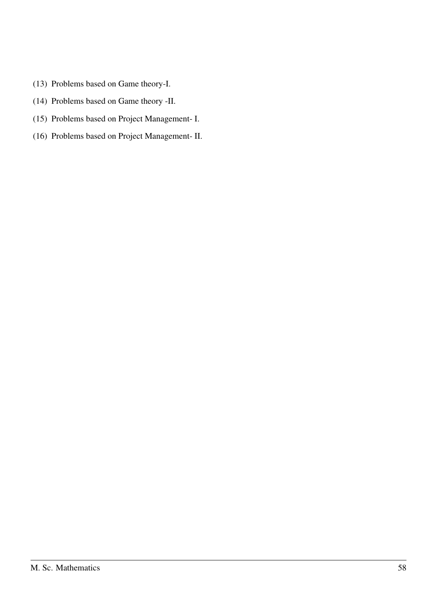- (13) Problems based on Game theory-I.
- (14) Problems based on Game theory -II.
- (15) Problems based on Project Management- I.
- (16) Problems based on Project Management- II.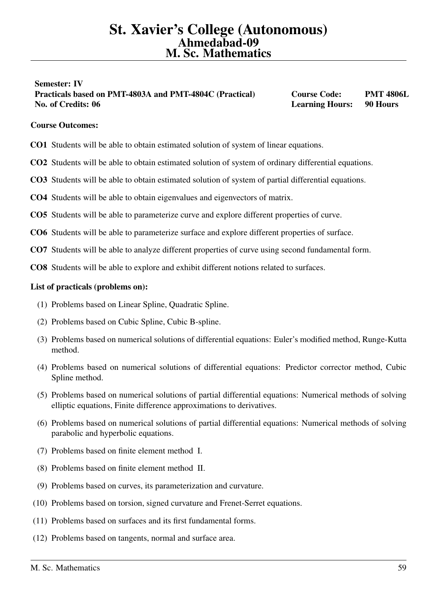# <span id="page-58-0"></span>Semester: IV Practicals based on PMT-4803A and PMT-4804C (Practical) Course Code: PMT 4806L No. of Credits: 06 **Learning Hours:** 90 Hours: 1998 Hours: 1998 Hours: 1998 Hours: 1998 Hours: 1998 Hours: 1998 Hours: 1998 Hours: 1998 Hours: 1998 Hours: 1998 Hours: 1998 Hours: 1998 Hours: 1998 Hours: 1998 Hours: 1998 Ho

# Course Outcomes:

- CO1 Students will be able to obtain estimated solution of system of linear equations.
- CO2 Students will be able to obtain estimated solution of system of ordinary differential equations.
- CO3 Students will be able to obtain estimated solution of system of partial differential equations.
- CO4 Students will be able to obtain eigenvalues and eigenvectors of matrix.
- CO5 Students will be able to parameterize curve and explore different properties of curve.
- CO6 Students will be able to parameterize surface and explore different properties of surface.
- CO7 Students will be able to analyze different properties of curve using second fundamental form.
- CO8 Students will be able to explore and exhibit different notions related to surfaces.

- (1) Problems based on Linear Spline, Quadratic Spline.
- (2) Problems based on Cubic Spline, Cubic B-spline.
- (3) Problems based on numerical solutions of differential equations: Euler's modified method, Runge-Kutta method.
- (4) Problems based on numerical solutions of differential equations: Predictor corrector method, Cubic Spline method.
- (5) Problems based on numerical solutions of partial differential equations: Numerical methods of solving elliptic equations, Finite difference approximations to derivatives.
- (6) Problems based on numerical solutions of partial differential equations: Numerical methods of solving parabolic and hyperbolic equations.
- (7) Problems based on finite element method I.
- (8) Problems based on finite element method II.
- (9) Problems based on curves, its parameterization and curvature.
- (10) Problems based on torsion, signed curvature and Frenet-Serret equations.
- (11) Problems based on surfaces and its first fundamental forms.
- (12) Problems based on tangents, normal and surface area.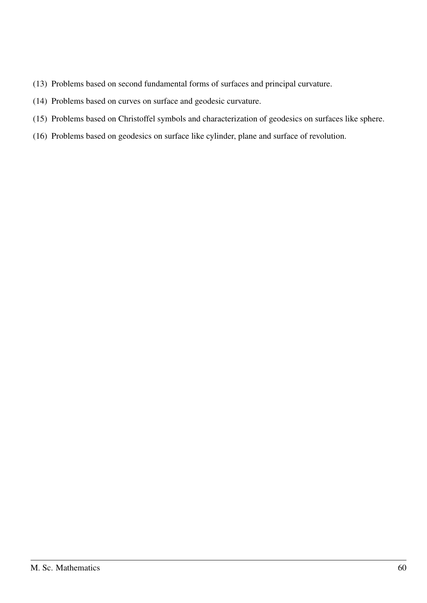- (13) Problems based on second fundamental forms of surfaces and principal curvature.
- (14) Problems based on curves on surface and geodesic curvature.
- (15) Problems based on Christoffel symbols and characterization of geodesics on surfaces like sphere.
- (16) Problems based on geodesics on surface like cylinder, plane and surface of revolution.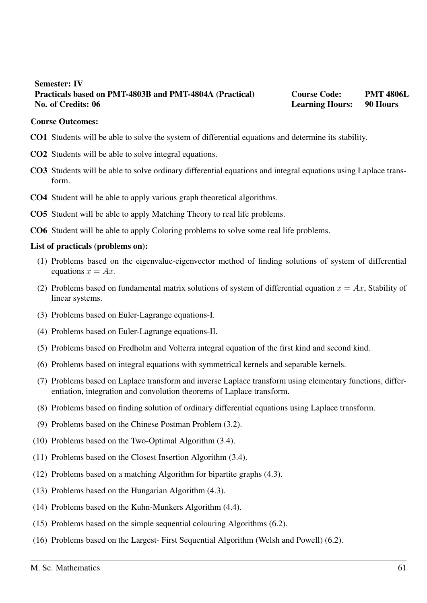# <span id="page-60-0"></span>Semester: IV Practicals based on PMT-4803B and PMT-4804A (Practical) Course Code: PMT 4806L No. of Credits: 06 **Learning Hours:** 90 Hours: 1998 Hours: 1998 Hours: 1998 Hours: 1998 Hours: 1998 Hours: 1998 Hours: 1998 Hours: 1998 Hours: 1998 Hours: 1998 Hours: 1998 Hours: 1998 Hours: 1998 Hours: 1998 Hours: 1998 Ho

## Course Outcomes:

- CO1 Students will be able to solve the system of differential equations and determine its stability.
- CO2 Students will be able to solve integral equations.
- CO3 Students will be able to solve ordinary differential equations and integral equations using Laplace transform.
- CO4 Student will be able to apply various graph theoretical algorithms.
- CO5 Student will be able to apply Matching Theory to real life problems.
- CO6 Student will be able to apply Coloring problems to solve some real life problems.

- (1) Problems based on the eigenvalue-eigenvector method of finding solutions of system of differential equations  $x = Ax$ .
- (2) Problems based on fundamental matrix solutions of system of differential equation  $x = Ax$ , Stability of linear systems.
- (3) Problems based on Euler-Lagrange equations-I.
- (4) Problems based on Euler-Lagrange equations-II.
- (5) Problems based on Fredholm and Volterra integral equation of the first kind and second kind.
- (6) Problems based on integral equations with symmetrical kernels and separable kernels.
- (7) Problems based on Laplace transform and inverse Laplace transform using elementary functions, differentiation, integration and convolution theorems of Laplace transform.
- (8) Problems based on finding solution of ordinary differential equations using Laplace transform.
- (9) Problems based on the Chinese Postman Problem (3.2).
- (10) Problems based on the Two-Optimal Algorithm (3.4).
- (11) Problems based on the Closest Insertion Algorithm (3.4).
- (12) Problems based on a matching Algorithm for bipartite graphs (4.3).
- (13) Problems based on the Hungarian Algorithm (4.3).
- (14) Problems based on the Kuhn-Munkers Algorithm (4.4).
- (15) Problems based on the simple sequential colouring Algorithms (6.2).
- (16) Problems based on the Largest- First Sequential Algorithm (Welsh and Powell) (6.2).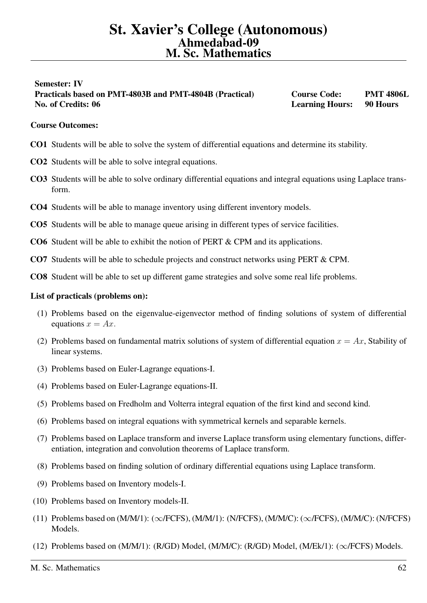# <span id="page-61-0"></span>Semester: IV Practicals based on PMT-4803B and PMT-4804B (Practical) Course Code: PMT 4806L No. of Credits: 06 **Learning Hours:** 90 Hours: 1998 Hours: 1998 Hours: 1998 Hours: 1998 Hours: 1998 Hours: 1998 Hours: 1998 Hours: 1998 Hours: 1998 Hours: 1998 Hours: 1998 Hours: 1998 Hours: 1998 Hours: 1998 Hours: 1998 Ho

# Course Outcomes:

- CO1 Students will be able to solve the system of differential equations and determine its stability.
- CO2 Students will be able to solve integral equations.
- CO3 Students will be able to solve ordinary differential equations and integral equations using Laplace transform.
- CO4 Students will be able to manage inventory using different inventory models.
- CO5 Students will be able to manage queue arising in different types of service facilities.
- CO6 Student will be able to exhibit the notion of PERT & CPM and its applications.
- CO7 Students will be able to schedule projects and construct networks using PERT & CPM.
- CO8 Student will be able to set up different game strategies and solve some real life problems.

- (1) Problems based on the eigenvalue-eigenvector method of finding solutions of system of differential equations  $x = Ax$ .
- (2) Problems based on fundamental matrix solutions of system of differential equation  $x = Ax$ , Stability of linear systems.
- (3) Problems based on Euler-Lagrange equations-I.
- (4) Problems based on Euler-Lagrange equations-II.
- (5) Problems based on Fredholm and Volterra integral equation of the first kind and second kind.
- (6) Problems based on integral equations with symmetrical kernels and separable kernels.
- (7) Problems based on Laplace transform and inverse Laplace transform using elementary functions, differentiation, integration and convolution theorems of Laplace transform.
- (8) Problems based on finding solution of ordinary differential equations using Laplace transform.
- (9) Problems based on Inventory models-I.
- (10) Problems based on Inventory models-II.
- (11) Problems based on  $(M/M/1)$ :  $(\infty$ /FCFS),  $(M/M/1)$ :  $(N/FCFS)$ ,  $(M/M/C)$ :  $(\infty$ /FCFS),  $(M/M/C)$ : (N/FCFS) Models.
- (12) Problems based on (M/M/1): (R/GD) Model, (M/M/C): (R/GD) Model, (M/Ek/1): (∞/FCFS) Models.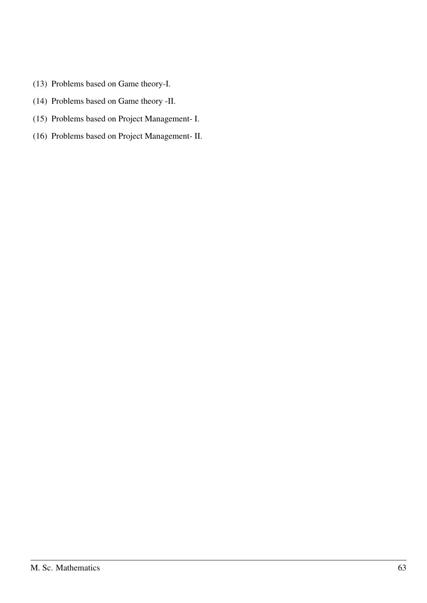- (13) Problems based on Game theory-I.
- (14) Problems based on Game theory -II.
- (15) Problems based on Project Management- I.
- (16) Problems based on Project Management- II.